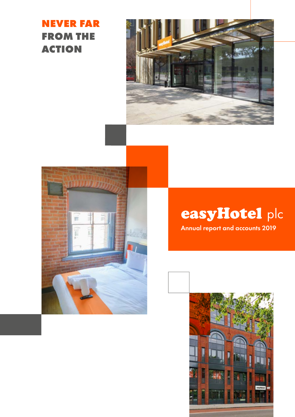**NEVER FAR FROM THE ACTION**





# easyHotel plc

Annual report and accounts 2019

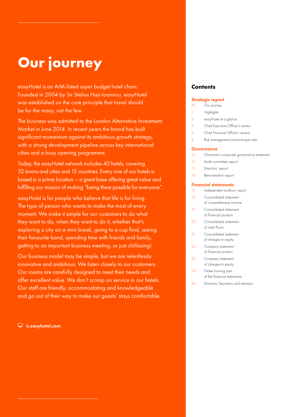# **Our journey**

easyHotel is an AIM-listed super budget hotel chain. Founded in 2004 by Sir Stelios Haji-Ioannou, easyHotel was established on the core principle that travel should be for the many, not the few.

The business was admitted to the London Alternative Investment Market in June 2014. In recent years the brand has built significant momentum against its ambitious growth strategy, with a strong development pipeline across key international cities and a busy opening programme.

Today, the easyHotel network includes 40 hotels, covering 32 towns and cities and 13 countries. Every one of our hotels is based in a prime location – a great base offering great value and fulfilling our mission of making "being there possible for everyone".

easyHotel is for people who believe that life is for living. The type of person who wants to make the most of every moment. We make it simple for our customers to do what they want to do, when they want to do it, whether that's exploring a city on a mini-break, going to a cup final, seeing their favourite band, spending time with friends and family, getting to an important business meeting, or just chillaxing!

Our business model may be simple, but we are relentlessly innovative and ambitious. We listen closely to our customers. Our rooms are carefully designed to meet their needs and offer excellent value. We don't scrimp on service in our hotels. Our staff are friendly, accommodating and knowledgeable and go out of their way to make our guests' stays comfortable.

# [ir.easyhotel.com](http://ir.easyhotel.com)

# **Contents**

# [Strategic report](#page-2-0)

- IFC Our journey
- 1 [Highlights](#page-2-0)
- 2 [easyHotel at a glance](#page-3-0)
- 3 [Chief Executive Officer's review](#page-4-0)
- 6 [Chief Financial Officer's review](#page-7-0)
- 8 [Risk management and principal risks](#page-9-0)

#### [Governance](#page-11-0)

- 10 [Chairman's corporate governance statement](#page-11-0)
- 12 [Audit committee report](#page-13-0)
- 13 [Directors' report](#page-14-0)
- 14 [Remuneration report](#page-15-0)

#### [Financial statements](#page-16-0)

- 15 [Independent auditors' report](#page-16-0)
- 18 [Consolidated statement](#page-19-0) [of comprehensive income](#page-19-0)
- 19 [Consolidated statement](#page-20-0)  [of financial position](#page-20-0)
- 20 [Consolidated statement](#page-21-0)  [of cash flows](#page-21-0)
- 21 Consolidated statement [of changes in equity](#page-22-0)
- 22 [Company statement](#page-23-0)  [of financial position](#page-23-0)
- 23 [Company statement](#page-24-0)  [of changes in equity](#page-24-0)
- 24 [Notes forming part](#page-25-0)  [of the financial statements](#page-25-0)
- 46 [Directors, Secretary and advisors](#page-47-0)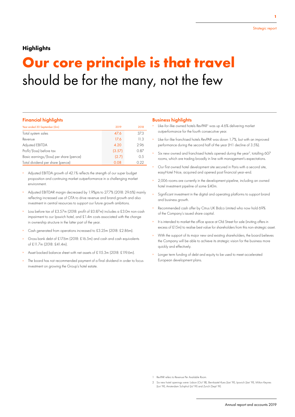# <span id="page-2-0"></span>**Highlights**

# **Our core principle is that travel**  should be for the many, not the few

## Financial highlights

| Year ended 30 September (£m)            | 2019   | 2018 |
|-----------------------------------------|--------|------|
| Total system sales                      | 47.6   | 373  |
| Revenue                                 | 17.6   | 11.3 |
| Adjusted EBITDA                         | 4.20   | 2.96 |
| Profit/(loss) before tax                | (3.57) | 0.87 |
| Basic earnings/(loss) per share (pence) | (2.7)  | 0.5  |
| Total dividend per share (pence)        | 0.08   | 0.22 |

- » Adjusted EBITDA growth of 42.1% reflects the strength of our super budget proposition and continuing market outperformance in a challenging market environment.
- » Adjusted EBITDAR margin decreased by 1.9%pts to 27.7% (2018: 29.6%) mainly reflecting increased use of OTA to drive revenue and brand growth and also investment in central resources to support our future growth ambitions.
- » Loss before tax of £3.57m (2018: profit of £0.87m) includes a £3.0m non-cash impairment to our Ipswich hotel, and £1.4m costs associated with the change in ownership structure in the latter part of the year.
- Cash generated from operations increased to £3.25m (2018: £2.86m).
- » Gross bank debt of £17.6m (2018: £16.5m) and cash and cash equivalents of £11.7m (2018: £41.4m).
- » Asset backed balance sheet with net assets of £115.3m (2018: £119.6m).
- The board has not recommended payment of a final dividend in order to focus investment on growing the Group's hotel estate.

# Business highlights

- Like-for-like owned hotels RevPAR<sup>1</sup> was up 4.6% delivering market outperformance for the fourth consecutive year.
- » Like-for-like franchised hotels RevPAR was down 1.7%, but with an improved performance during the second half of the year (H1 decline of 3.5%).
- » Six new owned and franchised hotels opened during the year<sup>2</sup>, totalling 607 rooms, which are trading broadly in line with management's expectations.
- » Our first owned hotel development site secured in Paris with a second site, easyHotel Nice, acquired and opened post financial year-end.
- » 2,006 rooms are currently in the development pipeline, including an owned hotel investment pipeline of some £40m.
- » Significant investment in the digital and operating platforms to support brand and business growth.
- » Recommended cash offer by Citrus UK Bidco Limited who now hold 69% of the Company's issued share capital.
- » It is intended to market the office space at Old Street for sale (inviting offers in excess of £15m) to realise best value for shareholders from this non-strategic asset.
- » With the support of its major new and existing shareholders, the board believes the Company will be able to achieve its strategic vision for the business more quickly and effectively.
- » Longer term funding of debt and equity to be used to meet accelerated European development plans.

- 1 RevPAR refers to Revenue Per Available Room.
- 2 Six new hotel openings were: Lisbon (Oct'18), Bernkastel-Kues (Jan'19), Ipswich (Jan'19), Milton Keynes (Jun'19), Amsterdam Schiphol (Jul'19) and Zurich (Sept'19).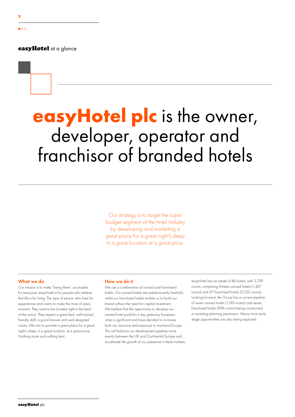# <span id="page-3-0"></span>easy Hotel at a glance

# **easyHotel plc** is the owner, developer, operator and franchisor of branded hotels

Our strategy is to target the super budget segment of the hotel industry by developing and marketing a great place for a great night's sleep in a great location at a great price.

#### What we do

Our mission is to make "being there" accessible for everyone. easyHotel is for people who believe that life is for living. The type of person who lives for experiences and wants to make the most of every moment. They want to be located right in the heart of the action. They expect a great bed, well-trained, friendly staff, a good shower and well-designed rooms. We aim to provide a great place for a great night's sleep, in a great location, at a great price. Nothing more and nothing less!

#### How we do it

We use a combination of owned and franchised hotels. Our owned hotels are predominantly freehold, whilst our franchised hotels enable us to build our brand without the need for capital investment. We believe that the opportunity to develop our owned hotel portfolio in key gateway European cities is significant and have decided to increase both our resource and exposure to mainland Europe. This will balance our development pipeline more evenly between the UK and Continental Europe and accelerate the growth of our presence in these markets. easyHotel has an estate of 40 hotels, with 3,759 rooms, comprising thirteen owned hotels (1,427 rooms) and 27 franchised hotels (2,332 rooms). Looking forward, the Group has a current pipeline of seven owned hotels (1,010 rooms) and seven franchised hotels (996 rooms) being constructed or awaiting planning permission. Many more early stage opportunities are also being explored.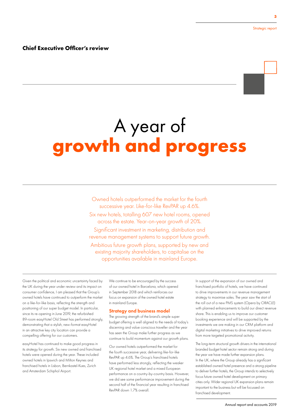# <span id="page-4-0"></span>**Chief Executive Officer's review**

# A year of **growth and progress**

Owned hotels outperformed the market for the fourth successive year. Like-for-like RevPAR up 4.6%.

Six new hotels, totalling 607 new hotel rooms, opened across the estate. Year-on-year growth of 20%.

Significant investment in marketing, distribution and revenue management systems to support future growth. Ambitious future growth plans, supported by new and existing majority shareholders, to capitalise on the opportunities available in mainland Europe.

Given the political and economic uncertainty faced by the UK during the year under review and its impact on consumer confidence, I am pleased that the Group's owned hotels have continued to outperform the market on a like-for-like basis, reflecting the strength and positioning of our super budget model. In particular, since its re-opening in June 2019, the refurbished 89-room easyHotel Old Street has performed strongly, demonstrating that a stylish, new-format easyHotel in an attractive key city location can provide a compelling offering for our customers.

easyHotel has continued to make good progress in its strategy for growth. Six new owned and franchised hotels were opened during the year. These included owned hotels in Ipswich and Milton Keynes and franchised hotels in Lisbon, Bernkastel-Kues, Zurich and Amsterdam Schiphol Airport.

We continue to be encouraged by the success of our owned hotel in Barcelona, which opened in September 2018 and which reinforces our focus on expansion of the owned hotel estate in mainland Europe.

# Strategy and business model

The growing strength of the brand's simple super budget offering is well aligned to the needs of today's discerning and value conscious traveller and the year has seen the Group make further progress as we continue to build momentum against our growth plans.

Our owned hotels outperformed the market for the fourth successive year, delivering like-for-like RevPAR up 4.6%. The Group's franchised hotels have performed less strongly, reflecting the weaker UK regional hotel market and a mixed European performance on a country-by-country basis. However, we did see some performance improvement during the second half of the financial year resulting in franchised RevPAR down 1.7% overall.

In support of the expansion of our owned and franchised portfolio of hotels, we have continued to drive improvements in our revenue management strategy to maximise sales. The year saw the start of the roll out of a new PMS system (Opera by ORACLE) with planned enhancements to build our direct revenue share. This is enabling us to improve our customer booking experience and will be supported by the investments we are making in our CRM platform and digital marketing initiatives to drive improved returns from more targeted promotional activity.

The long-term structural growth drivers in the international branded budget hotel sector remain strong and during the year we have made further expansion plans. In the UK, where the Group already has a significant established owned hotel presence and a strong pipeline to deliver further hotels, the Group intends to selectively focus future owned hotel development on primary cities only. Wider regional UK expansion plans remain important to the business but will be focussed on franchised development.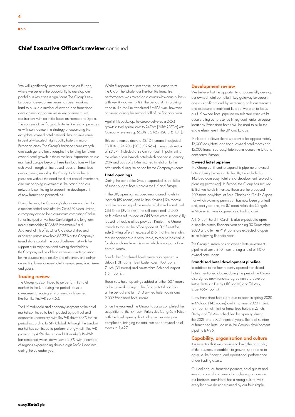# **Chief Executive Officer's review** continued

We will significantly increase our focus on Europe, where we believe the opportunity to develop our portfolio in key cities is significant. The Group's new European development team has been working hard to pursue a number of owned and franchised development opportunities in key primary tourist destinations with an initial focus on France and Spain. The success of our flagship hotel in Barcelona provides us with confidence in a strategy of expanding the easyHotel owned hotel network through investment in centrally-located, high quality hotels in major European cities. The Group's balance sheet strength and cash generation underpins the funding for future owned hotel growth in these markets. Expansion across mainland Europe beyond these key locations will be achieved through an increased focus on franchised development, enabling the Group to broaden its presence without the need for direct capital investment, and our ongoing investment in the brand and our network is continuing to support the development of new franchisee partnerships.

During the year, the Company's shares were subject to a recommended cash offer by Citrus UK Bidco Limited, a company owned by a consortium comprising Cadim Fonds Inc (part of Ivanhoé Cambridge) and long-term major shareholder, ICAMAP Investments S.à.r.l. As a result of this offer, Citrus UK Bidco Limited and its concert parties now hold 68.77% of the Company's issued share capital. The board believes that, with the support of its major new and existing shareholders, the Company will be able to achieve its strategic vision for the business more quickly and effectively and deliver an exciting future for easyHotel, its employees, franchisees and guests.

# Trading review

The Group has continued to outperform its hotel markets in the UK during the period, despite a weakening trading environment, with owned like-for-like RevPAR up 4.6%.

The UK mid-scale and economy segment of the hotel market continued to be impacted by political and economic uncertainty, with RevPAR down 0.7% for the period according to STR Global. Although the London market has continued to perform strongly, with RevPAR growing by 4.5%, the regional UK market's RevPAR has remained weak, down some 2.8%, with a number of regions experiencing double digit RevPAR declines during the calendar year.

Whilst European markets continued to outperform the UK on the whole, our like-for-like franchise performance was mixed on a country-by-country basis with RevPAR down 1.7% in the period. An improving trend in like-for-like franchised RevPAR was, however, achieved during the second half of the financial year.

Against this backdrop, the Group delivered a 27.5% growth in total system sales to £47.6m (2018: £37.3m) with Company revenues up 56.0% to £17.6m (2018: £11.3m).

This performance drove a 42.1% increase in adjusted EBITDA to £4.20m (2018: £2.96m). Losses before tax of £3.57m included a £3.0m non-cash impairment to the value of our Ipswich hotel which opened in January 2019 and costs of £1.4m incurred in relation to the offer made during the period for the Company's shares.

## Hotel openings

During the period the Group expanded its portfolio of super budget hotels across the UK and Europe.

In the UK, openings included new owned hotels in Ipswich (89 rooms) and Milton Keynes (124 rooms) and the reopening of the newly refurbished easyHotel Old Street (89 rooms). The self-contained 15,500 sa ft. offices refurbished at Old Street were successfully leased to flexible office provider, Knotel. The Group intends to market the office space at Old Street for sale (inviting offers in excess of £15m) at this time whilst market conditions are favourable, to realise best value for shareholders from this asset which is not part of our core business.

Four further franchised hotels were also opened in Lisbon (101 rooms), Bernkastel-Kues (100 rooms), Zurich (39 rooms) and Amsterdam Schiphol Airport (154 rooms).

These new hotel openings added a further 607 rooms to the network, bringing the Group's total portfolio at the period end to 1,340 owned hotel rooms and 2,332 franchised hotel rooms.

Since the year-end the Group has also completed the acquisition of the 87-room Palais des Congrés in Nice, with the hotel opening for trading immediately on completion, bringing the total number of owned hotel rooms to 1,427.

#### Development review

We believe that the opportunity to successfully develop our owned hotel portfolio in key gateway European cities is significant and by increasing both our resource and exposure to mainland Europe, we plan to focus our UK owned hotel pipeline on selected cities whilst accelerating our presence in key continental European locations. Franchised hotels will be used to build the estate elsewhere in the UK and Europe.

The board believes there is potential for approximately 12,000 easyHotel additional owned hotel rooms and 15,000 franchised easyHotel rooms across the UK and continental Europe.

#### Owned hotel pipeline

The Group continued to expand its pipeline of owned hotels during the period. In the UK, this included a 145-bedroom easyHotel Bristol development (subject to planning permission). In Europe, the Group has secured its first two hotels in France. These are the proposed 209-room easyHotel at Paris-Charles de Gaulle Airport (for which planning permission has now been granted) and, post year-end, the 87-room Palais des Congrés in Nice which was acquired as a trading asset.

A 116 room hotel in Cardiff is also expected to open during the current financial year ending 30 September 2020 and a further 749 rooms are expected to open in the following financial year.

The Group currently has an owned hotel investment pipeline of some £40m comprising a total of 1,010 owned hotel rooms.

#### Franchised hotel development pipeline

In addition to the four recently opened franchised hotels mentioned above, during the period the Group also signed new franchise agreements to develop further hotels in Derby (110 rooms) and Tel Aviv, Israel (667 rooms).

New franchised hotels are due to open in spring 2020 in Malaga (145 rooms) and in summer 2020 in Zurich (34 rooms), with further franchised hotels in Zurich, Derby and Tel Aviv scheduled for opening during the 2021 and 2022 financial years. The total number of franchised hotel rooms in the Group's development pipeline is 996.

#### Capability, organisation and culture

It is essential that we continue to build the capability of the business to enable it to grow at speed and to optimise the financial and operational performance of our trading assets.

Our colleagues, franchise partners, hotel guests and investors are all instrumental in achieving success in our business. easyHotel has a strong culture, with everything we do underpinned by our four simple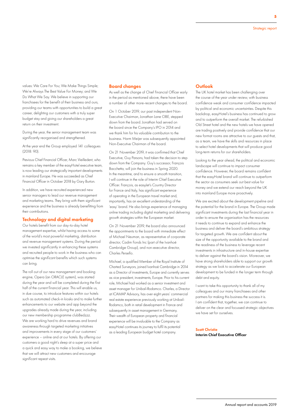<span id="page-6-0"></span>values: We Care For You; We Make Things Simple; We're Always The Best Value For Money; and We Do What We Say. We believe in supporting our franchisees for the benefit of their business and ours, providing our teams with opportunities to build a great career, delighting our customers with a truly super budget stay and giving our shareholders a great return on their investment.

During the year, the senior management team was significantly reorganised and strengthened.

At the year end the Group employed 141 colleagues (2018: 90).

Previous Chief Financial Officer, Marc Vieilledent, who remains a key member of the easyHotel executive team, is now leading our strategically important developments in mainland Europe. He was succeeded as Chief Financial Officer in October 2018 by Gary Burton.

In addition, we have recruited experienced new senior managers to lead our revenue management and marketing teams. They bring with them significant experience and the business is already benefitting from their contributions.

## Technology and digital marketing

Our hotels benefit from our day-to-day hotel management expertise, whilst having access to some of the world's most powerful marketing, distribution and revenue management systems. During the period we invested significantly in enhancing these systems and recruited people to work in the business who can optimise the significant benefits which such systems can bring.

The roll out of our new management and booking engine, Opera (an ORACLE system), was started during the year and will be completed during the first half of the current financial year. This will enable us, in due course, to introduce features within our hotels such as automated check-in kiosks and to make further enhancements to our website and app beyond the upgrades already made during the year, including our new membership programme clubBedzzz. We are working hard to drive revenues and brand awareness through targeted marketing initiatives and improvements in every stage of our customers' experience – online and at our hotels. By offering our customers a good night's sleep at a super price and a quick and easy way to make a booking, we believe that we will attract new customers and encourage significant repeat visits.

## Board changes

As well as the change of Chief Financial Officer early in the period as mentioned above, there have been a number of other more-recent changes to the board.

On 1 October 2019, our past independent Non-Executive Chairman, Jonathan Lane OBE, stepped down from the board. Jonathan had served on the board since the Company's IPO in 2014 and we thank him for his valuable contribution to the business. Harm Meijer was subsequently appointed Non-Executive Chairman of the board.

On 21 November 2019, it was confirmed that Chief Executive, Guy Parsons, had taken the decision to step down from the Company. Guy's successor, François Bacchetta, will join the business in Spring 2020. In the meantime, and to ensure a smooth transition, I will continue in the role of Interim Chief Executive Officer. François, as easyJet's Country Director for France and Italy, has significant experience of operating in the European travel market and, importantly, has an excellent understanding of the 'easy' brand. He also brings experience of managing online trading including digital marketing and delivering growth strategies within the European market.

On 21 November 2019, the board also announced the appointments to the board with immediate effect of Michael Neuman, as representative of corporate director, Cadim Fonds Inc (part of the Ivanhoé Cambridge Group), and non-executive director, Charles Persello.

Michael, a qualified Member of the Royal Institute of Charted Surveyors, joined Ivanhoé Cambridge in 2014 as a Director of investments, Europe and currently serves as vice president, investments, Europe. Prior to his current role, Michael had worked as a senior investment and asset manager for Unibail-Rodamco. Charles, a Director at ICAMAP Advisory, has over eight years' commercial real estate experience previously working at Unibail-Rodamco, both in retail development in France and subsequently in asset management in Germany. Their wealth of European property and financial experience will be invaluable to the Company as easyHotel continues its journey to fulfil its potential as a leading European budget hotel company.

## Outlook

The UK hotel market has been challenging over the course of the year under review, with business confidence weak and consumer confidence impacted by political and economic uncertainties. Despite this backdrop, easyHotel's business has continued to grow and to outperform the overall market. The refurbished Old Street hotel and the new hotels we have opened are trading positively and provide confidence that our new format rooms are attractive to our guests and that, as a team, we have the skills and resources in place to select hotel developments that will produce good long-term returns for our shareholders.

Looking to the year ahead, the political and economic landscape will continue to impact consumer confidence. However, the board remains confident that the easyHotel brand will continue to outperform the sector as consumers seek out best value for money and we extend our reach beyond the UK into mainland Europe more proactively.

We are excited about the development pipeline and the potential for the brand in Europe. The Group made significant investments during the last financial year in order to ensure the organisation has the resources it needs to continue to expand and enhance the business and deliver the board's ambitious strategy for targeted growth. We are confident about the size of the opportunity available to the brand and the readiness of the business to leverage recent investments in infrastructure and in-house expertise to deliver against the board's vision. Moreover, we have strong shareholders able to support our growth strategy as we look to accelerate our European development to be funded in the longer term through debt and equity.

I want to take this opportunity to thank all of my colleagues and our many franchisees and other partners for making this business the success it is. I am confident that, together, we can continue to deliver on the clear and focussed strategic objectives we have set for ourselves.

Scott Christie Interim Chief Executive Officer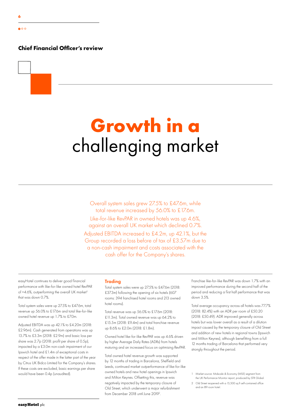# <span id="page-7-0"></span>**Chief Financial Officer's review**



# **Growth in a**  challenging market

Overall system sales grew 27.5% to £47.6m, while total revenue increased by 56.0% to £17.6m. Like-for-like RevPAR in owned hotels was up 4.6%, against an overall UK market which declined 0.7%. Adjusted EBITDA increased to £4.2m, up 42.1%, but the Group recorded a loss before of tax of £3.57m due to a non-cash impairment and costs associated with the cash offer for the Company's shares.

easyHotel continues to deliver good financial performance with like-for-like owned hotel RevPAR of +4.6%, outperforming the overall UK market<sup>1</sup> that was down 0.7%.

Total system sales were up 27.5% to £47.6m, total revenue up 56.0% to £17.6m and total like-for-like owned hotel revenue up 1.7% to £7.0m.

Adjusted EBITDA was up 42.1% to £4.20m (2018: £2.96m). Cash generated from operations was up 13.7% to £3.3m (2018: £2.9m) and basic loss per share was 2.7p (2018: profit per share of 0.5p), impacted by a £3.0m non-cash impairment of our Ipswich hotel and £1.4m of exceptional costs in respect of the offer made in the latter part of the year by Citrus UK Bidco Limited for the Company's shares. If these costs are excluded, basic earnings per share would have been 0.4p (unaudited).

## Trading

Total system sales were up 27.5% to £47.6m (2018: £37.3m) following the opening of six hotels (607 rooms: 394 franchised hotel rooms and 213 owned hotel rooms).

Total revenue was up 56.0% to £17.6m (2018: £11.3m). Total owned revenue was up 64.2% to £15.5m (2018: £9.4m) and total franchise revenue up 8.6% to £2.0m (2018: £1.8m).

Owned hotel like-for-like RevPAR was up 4.6% driven by higher Average Daily Rates (ADRs) from hotels maturing and an increased focus on optimising RevPAR.

Total owned hotel revenue growth was supported by 12 months of trading in Barcelona, Sheffield and Leeds, continued market outperformance of like-for-like owned hotels and new hotel openings in Ipswich and Milton Keynes. Offsetting this, revenue was negatively impacted by the temporary closure of Old Street, which underwent a major refurbishment from December 2018 until June 2019<sup>2</sup>.

Franchise like-for-like RevPAR was down 1.7% with an improved performance during the second half of the period and reducing a first half performance that was down 3.5%.

Total average occupancy across all hotels was 77.7% (2018: 82.4%) with an ADR per room of £50.20 (2018: £50.49). ADR improved generally across hotels but was lower overall as a result of a dilution impact caused by the temporary closure of Old Street and addition of new hotels in regional towns (Ipswich and Milton Keynes), although benefitting from a full 12 months trading of Barcelona that performed very strongly throughout the period.

<sup>1</sup> Market source: Midscale & Economy (MSE) segment from the UK Performance Monitor report, produced by STR Global.

<sup>2</sup> Old Street reopened with a 15,500 sq ft self-contained office and an 89 room hotel.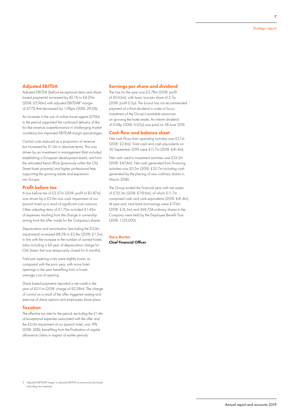# <span id="page-8-0"></span>Adjusted EBITDA

Adjusted EBITDA (before exceptional items and share based payments) increased by 42.1% to £4.20m (2018: £2.96m) with adjusted EBITDAR3 margin of 27.7% that decreased by 1.9%pts (2018: 29.6%).

An increase in the use of online-travel-agents (OTAs) in the period supported the continued delivery of likefor-like revenue outperformance in challenging market conditions but impacted EBITDARmargin percentages.

Central costs reduced as a proportion of revenue but increased by £1.0m in absolute terms. This was driven by an investment in management (that included establishing a European development team), rent from the relocated head office (previously within the Old Street hotel property) and higher professional fees supporting the growing estate and expansion into Europe.

#### Profit before tax

A loss before tax of £3.57m (2018: profit of £0.87m) was driven by a £3.0m non-cash impairment of our Ipswich hotel as a result of significant cost overruns. Other adjusting items of £1.75m included £1.43m of expenses resulting from the change in ownership arising from the offer made for the Company's shares.

Depreciation and amortisation (excluding the £3.0m impairment) increased 88.5% to £2.8m (2018: £1.5m), in line with the increase in the number of owned hotels (also including a full year of depreciation charge for Old Street, that was temporarily closed for 6 months).

Total pre-opening costs were slightly lower, as compared with the prior year, with more hotel openings in the year benefiting from a lower average cost of opening.

Share based payments reported a net credit in the year of £0.11m (2018: charge of £0.28m). The change of control as a result of the offer triggered vesting and exercise of share options and employees share plans.

#### Taxation

The effective tax rate for the period, excluding the £1.4m of exceptional expenses associated with the offer and the £3.0m impairment of our Ipswich hotel, was 19% (2018: 26%), benefitting from the finalisation of capital allowance claims in respect of earlier periods.

#### Earnings per share and dividend

The loss for the year was £3.78m (2018: profit of £0.65m), with basic loss per share of 2.7p (2018: profit 0.5p). The board has not recommended payment of a final dividend in order to focus investment of the Group's available resources on growing the hotel estate. An interim dividend of 0.08p (2018: 0.07p) was paid on 28 June 2019.

#### Cash flow and balance sheet

Net cash flows from operating activities was £3.1m (2018: £2.8m). Total cash and cash equivalents on 30 September 2019 were £11.7m (2018: £41.4m).

Net cash used in investment activities was £33.2m (2018: £47.4m). Net cash generated from financing activities was £0.5m (2018: £52.7m including cash generated by the placing of new ordinary shares in March 2018).

The Group ended the financial year with net assets of £115.3m (2018: £119.6m), of which £11.7m comprised cash and cash equivalents (2018: £41.4m). At year end, total bank borrowings were £17.6m (2018: £16.5m) and 369,724 ordinary shares in the Company were held by the Employee Benefit Trust (2018: 1,125,000).

# Gary Burton

Chief Financial Officer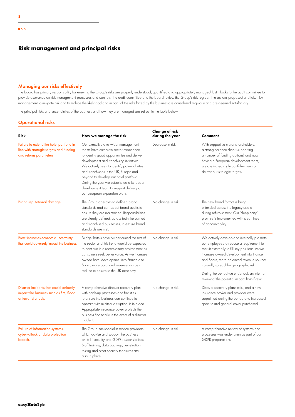# <span id="page-9-0"></span>**Risk management and principal risks**

# Managing our risks effectively

The board has primary responsibility for ensuring the Group's risks are properly understood, quantified and appropriately managed, but it looks to the audit committee to provide assurance on risk management processes and controls. The audit committee and the board review the Group's risk register. The actions proposed and taken by management to mitigate risk and to reduce the likelihood and impact of the risks faced by the business are considered regularly and are deemed satisfactory.

The principal risks and uncertainties of the business and how they are managed are set out in the table below.

#### Operational risks

| <b>Risk</b>                                                                                                    | How we manage the risk                                                                                                                                                                                                                                                                                                                                                                                                             | Change of risk<br>during the year | Comment                                                                                                                                                                                                                                                                                                                                                               |
|----------------------------------------------------------------------------------------------------------------|------------------------------------------------------------------------------------------------------------------------------------------------------------------------------------------------------------------------------------------------------------------------------------------------------------------------------------------------------------------------------------------------------------------------------------|-----------------------------------|-----------------------------------------------------------------------------------------------------------------------------------------------------------------------------------------------------------------------------------------------------------------------------------------------------------------------------------------------------------------------|
| Failure to extend the hotel portfolio in<br>line with strategic targets and funding<br>and returns parameters. | Our executive and wider management<br>teams have extensive sector experience<br>to identify good opportunities and deliver<br>development and franchising initiatives.<br>We actively seek to identify potential sites<br>and franchisees in the UK, Europe and<br>beyond to develop our hotel portfolio.<br>During the year we established a European<br>development team to support delivery of<br>our European expansion plans. | Decrease in risk                  | With supportive major shareholders,<br>a strong balance sheet (supporting<br>a number of funding options) and now<br>having a European development team,<br>we are increasingly confident we can<br>deliver our strategic targets.                                                                                                                                    |
| Brand reputational damage.                                                                                     | The Group operates to defined brand<br>standards and carries out brand audits to<br>ensure they are maintained. Responsibilities<br>are clearly defined, across both the owned<br>and franchised businesses, to ensure brand<br>standards are met.                                                                                                                                                                                 | No change in risk                 | The new brand format is being<br>extended across the legacy estate<br>during refurbishment. Our 'sleep easy'<br>promise is implemented with clear lines<br>of accountability.                                                                                                                                                                                         |
| <b>Brexit increases economic uncertainty</b><br>that could adversely impact the business.                      | Budget hotels have outperformed the rest of<br>the sector and this trend would be expected<br>to continue in a recessionary environment as<br>consumers seek better value. As we increase<br>owned hotel development into France and<br>Spain, more balanced revenue sources<br>reduce exposure to the UK economy.                                                                                                                 | No change in risk                 | We actively develop and internally promote<br>our employees to reduce a requirement to<br>recruit externally to fill key positions. As we<br>increase owned development into France<br>and Spain, more balanced revenue sources<br>naturally spread the geographic risk.<br>During the period we undertook an internal<br>review of the potential impact from Brexit. |
| Disaster incidents that could seriously<br>impact the business such as fire, flood<br>or terrorist attack.     | A comprehensive disaster recovery plan,<br>with back-up processes and facilities<br>to ensure the business can continue to<br>operate with minimal disruption, is in place.<br>Appropriate insurance cover protects the<br>business financially in the event of a disaster<br>incident.                                                                                                                                            | No change in risk                 | Disaster recovery plans exist, and a new<br>insurance broker and provider were<br>appointed during the period and increased<br>specific and general cover purchased.                                                                                                                                                                                                  |
| Failure of information systems,<br>cyber-attack or data protection<br>breach.                                  | The Group has specialist service providers<br>which advise and support the business<br>on its IT security and GDPR responsibilities.<br>Staff training, data back-up, penetration<br>testing and other security measures are<br>also in place.                                                                                                                                                                                     | No change in risk                 | A comprehensive review of systems and<br>processes was undertaken as part of our<br>GDPR preparations.                                                                                                                                                                                                                                                                |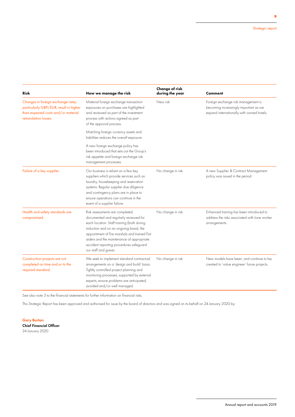<span id="page-10-0"></span>

| <b>Risk</b>                                                                                                                                  | How we manage the risk                                                                                                                                                                                                                                                                                                               | <b>Change of risk</b><br>during the year | Comment                                                                                                                   |
|----------------------------------------------------------------------------------------------------------------------------------------------|--------------------------------------------------------------------------------------------------------------------------------------------------------------------------------------------------------------------------------------------------------------------------------------------------------------------------------------|------------------------------------------|---------------------------------------------------------------------------------------------------------------------------|
| Changes in foreign exchange rates,<br>particularly GBP/EUR, result in higher<br>than expected costs and/or material<br>retranslation losses. | Material foreign exchange transaction<br>exposures on purchases are highlighted<br>and reviewed as part of the investment<br>process with actions agreed as part<br>of the approval process.                                                                                                                                         | New risk                                 | Foreign exchange risk management is<br>becoming increasingly important as we<br>expand internationally with owned hotels. |
|                                                                                                                                              | Matching foreign currency assets and<br>liabilities reduces the overall exposure.                                                                                                                                                                                                                                                    |                                          |                                                                                                                           |
|                                                                                                                                              | A new foreign exchange policy has<br>been introduced that sets out the Group's<br>risk appetite and foreign exchange risk<br>management processes.                                                                                                                                                                                   |                                          |                                                                                                                           |
| Failure of a key supplier.                                                                                                                   | Our business is reliant on a few key<br>suppliers which provide services such as<br>laundry, housekeeping and reservation<br>systems. Regular supplier due diligence<br>and contingency plans are in place to<br>ensure operations can continue in the<br>event of a supplier failure.                                               | No change in risk                        | A new Supplier & Contract Management<br>policy was issued in the period.                                                  |
| Health and safety standards are<br>compromised.                                                                                              | Risk assessments are completed,<br>documented and regularly reviewed for<br>each location. Staff training (both during<br>induction and on an ongoing basis), the<br>appointment of fire marshals and trained first<br>aiders and the maintenance of appropriate<br>accident reporting procedures safeguard<br>our staff and guests. | No change in risk                        | Enhanced training has been introduced to<br>address the risks associated with lone worker<br>arrangements.                |
| Construction projects are not<br>completed on time and or to the<br>required standard.                                                       | We seek to implement standard contractual<br>arrangements on a 'design and build' basis.<br>Tightly controlled project planning and<br>monitoring processes, supported by external<br>experts, ensure problems are anticipated,<br>avoided and/or well managed.                                                                      | No change in risk                        | New models have been, and continue to be,<br>created to 'value engineer' future projects.                                 |

See also [note 3](#page-29-0) to the financial statements for further information on financial risks.

This Strategic Report has been approved and authorised for issue by the board of directors and was signed on its behalf on 24 January 2020 by:

Gary Burton Chief Financial Officer

24 January 2020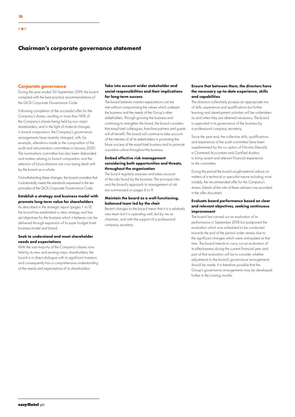# <span id="page-11-0"></span>**Chairman's corporate governance statement**

#### Corporate governance

During the year ended 30 September 2019, the board complied with the best practice recommendations of the QCA Corporate Governance Code.

Following completion of the successful offer for the Company's shares, resulting in more than 96% of the Company's shares being held by two major shareholders, and in the light of material changes in board composition, the Company's governance arrangements have recently changed, with, for example, alterations made to the composition of the audit and remuneration committees in January 2020. The nominations committee has also been disbanded and matters relating to board composition and the selection of future directors are now being dealt with by the board as a whole.

Notwithstanding these changes, the board considers that it substantially meets the standards expressed in the ten principles of the QCA Corporate Governance Code.

#### Establish a strategy and business model with promote long-term value for shareholders

As described in the strategic report ([pages 1](#page-2-0) to [9\)](#page-10-0), the board has established a clear strategy and has set objectives for the business which it believes can be delivered through expansion of its super budget hotel business model and brand.

#### Seek to understand and meet shareholder needs and expectations

With the vast majority of the Company's shares now held by its new and existing major shareholders, the board is in direct dialogue with its significant investors and consequently has a comprehensive understanding of the needs and expectations of its shareholders.

#### Take into account wider stakeholder and social responsibilities and their implications for long-term success

The board believes investor expectations can be met without compromising the values which underpin the business and the needs of the Group's other stakeholders. Through growing the business and continuing to strengthen the brand, the board considers that easyHotel colleagues, franchise partners and guests will all benefit. The board will continue to take account of the interests of all its stakeholders in promoting the future success of the easyHotel business and to promote a positive culture throughout the business.

## Embed effective risk management considering both opportunities and threats, throughout the organisation

The board regularly assesses and takes account of the risks faced by the business. The principal risks and the board's approach to management of risk are summarised on [pages 8](#page-9-0) to [9.](#page-10-0)

#### Maintain the board as a well-functioning, balanced team led by the chair

Recent changes to the board mean that it is a relatively new team but it is operating well, led by me as chairman, and with the support of a professional company secretary.

#### Ensure that between them, the directors have the necessary up-to-date experience, skills and capabilities

The directors collectively possess an appropriate mix of skills, experience and qualifications but further learning and development activities will be undertaken as and when they are deemed necessary. The board is supported in its governance of the business by a professional company secretary.

Since the year end, the collective skills, qualifications and experience of the audit committee have been supplemented by the co-option of Nicolas Dewald, a Chartered Accountant and Certified Auditor, to bring recent and relevant financial experience to the committee.

During the period the board sought external advice on matters of a technical or specialist nature including, most notably, the recommended offer for the Company's shares. Details of the role of these advisers was provided in the offer document.

#### Evaluate board performance based on clear and relevant objectives, seeking continuous improvement

The board last carried out an evaluation of its performance in September 2018 but postponed the evaluation which was scheduled to be conducted towards the end of the period under review due to the significant changes which were anticipated at that time. The board intends to carry out an evaluation of its effectiveness during the current financial year and part of that evaluation will be to consider whether adjustments to the board's governance arrangements should be made. It is therefore possible that the Group's governance arrangements may be developed further in the coming months.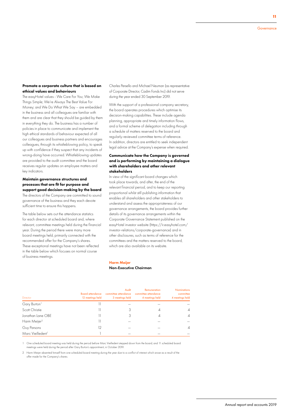#### Promote a corporate culture that is based on ethical values and behaviours

The easyHotel values - We Care For You; We Make Things Simple; We're Always The Best Value For Money; and We Do What We Say – are embedded in the business and all colleagues are familiar with them and are clear that they should be guided by them in everything they do. The business has a number of policies in place to communicate and implement the high ethical standards of behaviour expected of all our colleagues and business partners and encourages colleagues, through its whistleblowing policy, to speak up with confidence if they suspect that any incidents of wrong-doing have occurred. Whistleblowing updates are provided to the audit committee and the board receives regular updates on employee matters and key indicators.

# Maintain governance structures and processes that are fit for purpose and support good decision-making by the board

The directors of the Company are committed to sound governance of the business and they each devote sufficient time to ensure this happens.

The table below sets out the attendance statistics for each director at scheduled board and, where relevant, committee meetings held during the financial year. During the period there were many more board meetings held, primarily connected with the recommended offer for the Company's shares. These exceptional meetings have not been reflected in the table below which focuses on normal course of business meetings.

Charles Persello and Michael Neuman (as representative of Corporate Director, Cadim Fonds Inc) did not serve during the year ended 30 September 2019.

With the support of a professional company secretary, the board operates procedures which optimise its decision-making capabilities. These include agenda planning, appropriate and timely information flows, and a formal scheme of delegation including through a schedule of matters reserved to the board and regularly-reviewed committee terms of reference. In addition, directors are entitled to seek independent legal advice at the Company's expense when required.

## Communicate how the Company is governed and is performing by maintaining a dialogue with shareholders and other relevant stakeholders

In view of the significant board changes which took place towards, and after, the end of the relevant financial period, and to keep our reporting proportional whilst still publishing information that enables all shareholders and other stakeholders to understand and assess the appropriateness of our governance arrangements, the board provides further details of its governance arrangements within the Corporate Governance Statement published on the easyHotel investor website [\(https://ir.easyhotel.com/](https://ir.easyhotel.com/investor-relations/corporate-governance) [investor-relations/corporate-governance](https://ir.easyhotel.com/investor-relations/corporate-governance)) and in other disclosures, such as terms of reference for the committees and the matters reserved to the board, which are also available on its website.

#### Harm Meijer

#### Non-Executive Chairman

| Director                      | <b>Board attendance</b><br>12 meetings held | Audit<br>committee attendance<br>3 meetings held | Remuneration<br>committee attendance<br>4 meetings held | <b>Nominations</b><br>committee<br>4 meetings held |
|-------------------------------|---------------------------------------------|--------------------------------------------------|---------------------------------------------------------|----------------------------------------------------|
| Gary Burton <sup>1</sup>      |                                             |                                                  |                                                         |                                                    |
| Scott Christie                | n                                           |                                                  | 4                                                       |                                                    |
| Jonathan Lane OBE             | 11                                          |                                                  | 4                                                       |                                                    |
| Harm Meijer <sup>2</sup>      | 11                                          |                                                  |                                                         |                                                    |
| Guy Parsons                   | 12                                          |                                                  |                                                         |                                                    |
| Marc Vieilledent <sup>1</sup> |                                             |                                                  |                                                         |                                                    |

1 One scheduled board meeting was held during the period before Marc Vieilledent stepped down from the board, and 11 scheduled board meetings were held during the period after Gary Burton's appointment, in October 2019.

2 Harm Meijer absented himself from one scheduled board meeting during the year due to a conflict of interest which arose as a result of the offer made for the Company's shares.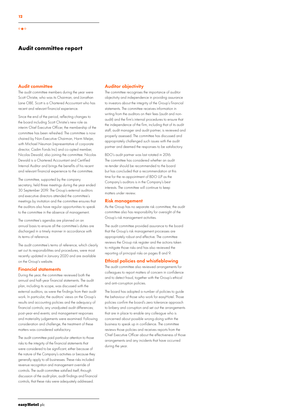# <span id="page-13-0"></span>**Audit committee report**

## Audit committee

The audit committee members during the year were Scott Christie, who was its Chairman, and Jonathan Lane OBE. Scott is a Chartered Accountant who has recent and relevant financial experience.

Since the end of the period, reflecting changes to the board including Scott Christie's new role as interim Chief Executive Officer, the membership of the committee has been refreshed. The committee is now chaired by Non-Executive Chairman, Harm Meijer, with Michael Neuman (representative of corporate director, Cadim Fonds Inc) and co-opted member, Nicolas Dewald, also joining the committee. Nicolas Dewald is a Chartered Accountant and Certified Internal Auditor and brings the benefits of his recent and relevant financial experience to the committee.

The committee, supported by the company secretary, held three meetings during the year ended 30 September 2019. The Group's external auditors and executive directors attended the committee's meetings by invitation and the committee ensures that the auditors also have regular opportunities to speak to the committee in the absence of management.

The committee's agendas are planned on an annual basis to ensure all the committee's duties are discharged in a timely manner in accordance with its terms of reference.

The audit committee's terms of reference, which clearly set out its responsibilities and procedures, were most recently updated in January 2020 and are available on the Group's website.

#### Financial statements

During the year, the committee reviewed both the annual and half-year financial statements. The audit plan, including its scope, was discussed with the external auditors, as were the findings from their audit work. In particular, the auditors' views on the Group's results and accounting policies and the adequacy of financial controls; any unadjusted audit differences; post-year-end events; and management responses and materiality judgements were examined. Following consideration and challenge, the treatment of these matters was considered satisfactory.

The audit committee paid particular attention to those risks to the integrity of the financial statements that were considered to be significant, either because of the nature of the Company's activities or because they generally apply to all businesses. These risks included revenue recognition and management override of controls. The audit committee satisfied itself, through discussion of the audit plan, audit findings and financial controls, that these risks were adequately addressed.

## Auditor objectivity

The committee recognises the importance of auditor objectivity and independence in providing assurance to investors about the integrity of the Group's financial statements. The committee receives information in writing from the auditors on their fees (audit and nonaudit) and the firm's internal procedures to ensure that the independence of the firm, including that of its audit staff, audit manager and audit partner, is reviewed and properly assessed. The committee has discussed and appropriately challenged such issues with the audit partner and deemed the responses to be satisfactory.

BDO's audit partner was last rotated in 2016. The committee has considered whether an audit re-tender should be recommended to the board but has concluded that a recommendation at this time for the re-appointment of BDO LLP as the Company's auditors is in the Company's best interests. The committee will continue to keep matters under review.

#### Risk management

As the Group has no separate risk committee, the audit committee also has responsibility for oversight of the Group's risk management activities.

The audit committee provided assurance to the board that the Group's risk management processes are appropriately robust and effective. The committee reviews the Group risk register and the actions taken to mitigate those risks and has also reviewed the reporting of principal risks on [pages 8](#page-9-0) an[d 9](#page-10-0).

#### Ethical policies and whistleblowing

The audit committee also reviewed arrangements for colleagues to report matters of concern in confidence and to detect fraud, together with the Group's ethical and anti-corruption policies.

The board has adopted a number of policies to guide the behaviour of those who work for easyHotel. Those policies confirm the board's zero tolerance approach to bribery and corruption and set out the arrangements that are in place to enable any colleague who is concerned about possible wrong-doing within the business to speak up in confidence. The committee reviews those policies and receives reports from the Chief Executive Officer about the effectiveness of those arrangements and any incidents that have occurred during the year.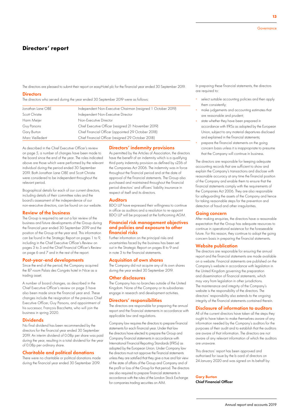# <span id="page-14-0"></span>**Directors' report**

The directors are pleased to submit their report on easyHotel plc for the financial year ended 30 September 2019.

#### **Directors**

The directors who served during the year ended 30 September 2019 were as follows:

| Jonathan Lane OBE | Independent Non-Executive Chairman (resigned 1 October 2019) |
|-------------------|--------------------------------------------------------------|
| Scott Christie    | Independent Non-Executive Director                           |
| Harm Meijer       | Non-Executive Director                                       |
| Guy Parsons       | Chief Executive Officer (resigned 21 November 2019)          |
| Gary Burton       | Chief Financial Officer (appointed 29 October 2018)          |
| Marc Vieilledent  | Chief Financial Officer (resigned 29 October 2018)           |

As described in the Chief Executive Officer's review on [page 5](#page-6-0), a number of changes have been made to the board since the end of the year. The roles indicated above are those which were performed by the relevant individual during the period ended 30 September 2019. Both Jonathan Lane OBE and Scott Christie were considered to be independent throughout the relevant period.

Biographical details for each of our current directors, including details of their committee roles and the board's assessment of the independence of our non-executive directors, can be found on our website.

#### Review of the business

The Group is required to set out a fair review of the business and future developments of the Group during the financial year ended 30 September 2019 and the position of the Group at the year end. This information can be found in the Strategic Report on [pages 1](#page-2-0) to [9](#page-10-0), including in the Chief Executive Officer's Review on [pages 3](#page-4-0) to [5](#page-6-0) and the Chief Financial Officer's Review on [page 6](#page-7-0) and [7](#page-8-0) and in the rest of the report.

#### Post-year-end developments

Since the end of the period, the Company acquired the 87-room Palais des Congrés hotel in Nice as a trading asset.

A number of board changes, as described in the Chief Executive Officer's review on [page 5](#page-6-0) have also been made since the financial year end. These changes include the resignation of the previous Chief Executive Officer, Guy Parsons, and appointment of his successor, François Bacchetta, who will join the business in spring 2020.

## **Dividends**

No final dividend has been recommended by the directors for the financial year ended 30 September 2019. An interim dividend of 0.08p per share was paid during the year, resulting in a total dividend for the year of 0.08p per ordinary share.

#### Charitable and political donations

There were no charitable or political donations made during the financial year ended 30 September 2019.

#### Directors' indemnity provisions

As permitted by the Articles of Association, the directors have the benefit of an indemnity which is a qualifying third party indemnity provision as defined by s236 of the Companies Act 2006. The indemnity was in force throughout the financial period and at the date of approval of the financial statements. The Group also purchased and maintained throughout the financial period directors' and officers' liability insurance in respect of itself and its directors.

#### Auditors

BDO LLP have expressed their willingness to continue in office as auditors and a resolution to re-appoint BDO LLP will be proposed at the forthcoming AGM.

#### Financial risk management objectives and policies and exposure to other financial risks

Further information on the principal risks and uncertainties faced by the business has been set out in the Strategic Report on [pages 8](#page-9-0) to [9](#page-10-0) and in [note 3](#page-29-0) to the financial statements.

#### Acquisition of own shares

The Company did not acquire any of its own shares during the year ended 30 September 2019.

#### Other disclosures

The Company has no branches outside of the United Kingdom. None of the Company or its subsidiaries engage in research and development activities.

#### Directors' responsibilities

The directors are responsible for preparing the annual report and the financial statements in accordance with applicable law and regulations.

Company law requires the directors to prepare financial statements for each financial year. Under that law the directors have elected to prepare the Group and Company financial statements in accordance with International Financial Reporting Standards (IFRSs) as adopted by the European Union. Under Company law the directors must not approve the financial statements unless they are satisfied that they give a true and fair view of the state of affairs of the Group and Company and of the profit or loss of the Group for that period. The directors are also required to prepare financial statements in accordance with the rules of the London Stock Exchange for companies trading securities on AIM.

In preparing these financial statements, the directors are required to:

- » select suitable accounting policies and then apply them consistently;
- » make judgements and accounting estimates that are reasonable and prudent;
- » state whether they have been prepared in accordance with IFRSs as adopted by the European Union, subject to any material departures disclosed and explained in the financial statements;
- » prepare the financial statements on the going concern basis unless it is inappropriate to presume that the Company will continue in business.

The directors are responsible for keeping adequate accounting records that are sufficient to show and explain the Company's transactions and disclose with reasonable accuracy at any time the financial position of the Company and enable them to ensure that the financial statements comply with the requirements of the Companies Act 2006. They are also responsible for safeguarding the assets of the Company and hence for taking reasonable steps for the prevention and detection of fraud and other irregularities.

#### Going concern

After making enquiries, the directors have a reasonable expectation that the Group has adequate resources to continue in operational existence for the foreseeable future. For this reason, they continue to adopt the going concern basis in preparing the financial statements.

## Website publication

The directors are responsible for ensuring the annual report and the financial statements are made available on a website. Financial statements are published on the Company's website in accordance with legislation in the United Kingdom governing the preparation and dissemination of financial statements, which may vary from legislation in other jurisdictions. The maintenance and integrity of the Company's website is the responsibility of the directors. The directors' responsibility also extends to the ongoing integrity of the financial statements contained therein.

#### Disclosure of information to auditors

All of the current directors have taken all the steps they ought to have taken to make themselves aware of any information needed by the Company's auditors for the purposes of their audit and to establish that the auditors are aware of that information. The directors are not aware of any relevant information of which the auditors are unaware.

This directors' report has been approved and authorised for issue by the b oard of directors on 24 January 2020 and was signed on its behalf by:

#### Gary Burton

Chief Financial Officer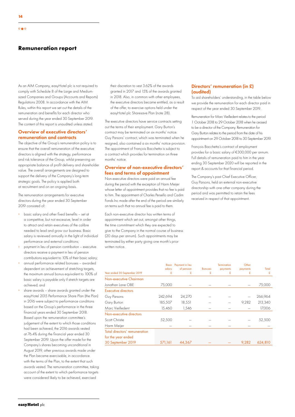# <span id="page-15-0"></span>**Remuneration report**

As an AIM Company, easyHotel plc is not required to comply with Schedule 8 of the Large and Mediumsized Companies and Groups (Accounts and Reports) Regulations 2008. In accordance with the AIM Rules, within this report we set out the details of the remuneration and benefits for each director who served during the year ended 30 September 2019. The content of this report is unaudited unless stated.

# Overview of executive directors' remuneration and contracts

The objective of the Group's remuneration policy is to ensure that the overall remuneration of the executive directors is aligned with the strategy, performance and risk tolerance of the Group, whilst preserving an appropriate balance of profit delivery and shareholder value. The overall arrangements are designed to support the delivery of the Company's long-term strategic goals. The policy is applied both at recruitment and on an ongoing basis.

The remuneration arrangements for executive directors during the year ended 30 September 2019 consisted of:

- » basic salary and other fixed benefits set at a competitive, but not excessive, level in order to attract and retain executives of the calibre needed to lead and grow our business. Basic salary is reviewed annually in the light of individual performance and external conditions;
- » payment in lieu of pension contribution executive directors receive a payment in lieu of pension contributions equivalent to 10% of their basic salary;
- » annual performance related bonuses awarded dependent on achievement of stretching targets, the maximum annual bonus equivalent to 100% of basic salary is payable only if stretch targets are achieved; and
- » share awards share awards granted under the easyHotel 2015 Performance Share Plan (the Plan) in 2016 were subject to performance conditions based on the Group's performance in the three financial years ended 30 September 2018. Based upon the remuneration committee's judgement of the extent to which those conditions had been achieved, the 2016 awards vested at 76.4% during the financial year ended 30 September 2019. Upon the offer made for the Company's shares becoming unconditional in August 2019, other previous awards made under the Plan became exercisable, in accordance with the terms of the Plan, to the extent that such awards vested. The remuneration committee, taking account of the extent to which performance targets were considered likely to be achieved, exercised

their discretion to vest 3.62% of the awards granted in 2017 and 15% of the awards granted in 2018. Also, in common with other employees, the executive directors became entitled, as a result of the offer, to exercise options held under the easyHotel plc Sharesave Plan [\(note 28](#page-43-0)).

The executive directors have service contracts setting out the terms of their employment. Gary Burton's contract may be terminated on six months' notice. Guy Parsons' contract, which was terminated when he resigned, also contained a six months' notice provision. The appointment of François Bacchetta is subject to a contract which provides for termination on three months' notice.

## Overview of non-executive directors' fees and terms of appointment

Non-executive directors were paid an annual fee during the period with the exception of Harm Meijer whose letter of appointment provides that no fee is paid to him. The appointment of Charles Persello and Cadim Fonds Inc made after the end of the period are similarly on terms such that no annual fee is paid to them.

Each non-executive director has written terms of appointment which set out, amongst other things, the time commitment which they are expected to give to the Company in the normal course of business (20 days per annum). Such appointments may be terminated by either party giving one month's prior written notice.

# Directors' remuneration (in £) (audited)

To aid shareholders' understanding, in the table below we provide the remuneration for each director paid in respect of the year ended 30 September 2019.

Remuneration for Marc Vieilledent relates to the period 1 October 2018 to 29 October 2018 when he ceased to be a director of the Company. Remuneration for Gary Burton relates to the period from the date of his appointment on 29 October 2018 to 30 September 2019.

François Bacchetta's contract of employment provides for a basic salary of €300,000 per annum. Full details of remuneration paid to him in the year ending 30 September 2020 will be reported in the report & accounts for that financial period.

The Company's past Chief Executive Officer, Guy Parsons, held an external non-executive directorship with one other company during the period and was permitted to retain the fees received in respect of that appointment.

|                               |         | Basic Payment in lieu |                | <b>Termination</b> | Other    |         |  |
|-------------------------------|---------|-----------------------|----------------|--------------------|----------|---------|--|
|                               | salary  | of pension            | <b>Bonuses</b> | payments           | payments | Total   |  |
| Year ended 30 September 2019  | £       | £                     | £              | £                  | £        | £       |  |
| Non-executive Chairman        |         |                       |                |                    |          |         |  |
| Jonathan Lane OBE             | 75,000  |                       |                |                    |          | 75,000  |  |
| <b>Executive directors</b>    |         |                       |                |                    |          |         |  |
| Guy Parsons                   | 242,694 | 24,270                |                |                    |          | 266,964 |  |
| Gary Burton                   | 185,507 | 18,551                |                |                    | 9,282    | 213,340 |  |
| Marc Vieilledent              | 15,460  | 1,546                 |                |                    |          | 17,006  |  |
| Non-executive directors       |         |                       |                |                    |          |         |  |
| Scott Christie                | 52,500  |                       |                |                    |          | 52,500  |  |
| Harm Meijer                   |         |                       |                |                    |          |         |  |
| Total directors' remuneration |         |                       |                |                    |          |         |  |
| for the year ended            |         |                       |                |                    |          |         |  |
| 30 September 2019             | 571.161 | 44.367                |                |                    | 9.282    | 624.810 |  |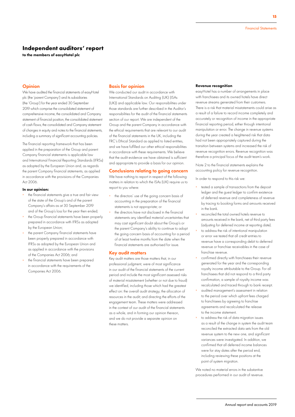# <span id="page-16-0"></span>**Independent auditors' report**

to the members of easyHotel plc

#### **Opinion**

We have audited the financial statements of easyHotel plc (the 'parent Company') and its subsidiaries (the 'Group') for the year ended 30 September 2019 which comprise the consolidated statement of comprehensive income, the consolidated and Company statement of financial position, the consolidated statement of cash flows, the consolidated and Company statement of changes in equity and notes to the financial statements, including a summary of significant accounting policies.

The financial reporting framework that has been applied in the preparation of the Group and parent Company financial statements is applicable law and International Financial Reporting Standards (IFRSs) as adopted by the European Union and, as regards the parent Company financial statements, as applied in accordance with the provisions of the Companies Act 2006.

#### In our opinion:

- » the financial statements give a true and fair view of the state of the Group's and of the parent Company's affairs as at 30 September 2019 and of the Group's loss for the year then ended;
- » the Group financial statements have been properly prepared in accordance with IFRSs as adopted by the European Union;
- » the parent Company financial statements have been properly prepared in accordance with IFRSs as adopted by the European Union and as applied in accordance with the provisions of the Companies Act 2006; and
- » the financial statements have been prepared in accordance with the requirements of the Companies Act 2006.

# Basis for opinion

We conducted our audit in accordance with International Standards on Auditing (UK) (ISAs (UK)) and applicable law. Our responsibilities under those standards are further described in the Auditor's responsibilities for the audit of the financial statements section of our report. We are independent of the Group and the parent Company in accordance with the ethical requirements that are relevant to our audit of the financial statements in the UK, including the FRC's Ethical Standard as applied to listed entities, and we have fulfilled our other ethical responsibilities in accordance with these requirements. We believe that the audit evidence we have obtained is sufficient and appropriate to provide a basis for our opinion.

#### Conclusions relating to going concern

We have nothing to report in respect of the following matters in relation to which the ISAs (UK) require us to report to you where:

- the directors' use of the going concern basis of accounting in the preparation of the financial statements is not appropriate; or
- the directors have not disclosed in the financial statements any identified material uncertainties that may cast significant doubt about the Group's or the parent Company's ability to continue to adopt the going concern basis of accounting for a period of at least twelve months from the date when the financial statements are authorised for issue.

#### Key audit matters

Key audit matters are those matters that, in our professional judgment, were of most significance in our audit of the financial statements of the current period and include the most significant assessed risks of material misstatement (whether or not due to fraud) we identified, including those which had the greatest effect on: the overall audit strategy, the allocation of resources in the audit; and directing the efforts of the engagement team. These matters were addressed in the context of our audit of the financial statements as a whole, and in forming our opinion thereon, and we do not provide a separate opinion on these matters.

#### Revenue recognition

easyHotel has a number of arrangements in place with franchisees and its owned hotels have direct revenue streams generated from their customers. There is a risk that material misstatements could arise as a result of a failure to record income completely and accurately or recognition of income in the appropriate financial reporting period, either through intentional manipulation or error. The change in revenue systems during the year created a heightened risk that data had not been appropriately captured during the transition between systems and increased the risk of revenue recognition errors. Revenue recognition was therefore a principal focus of the audit team's work.

[Note 2](#page-25-0) to the financial statements explains the accounting policy for revenue recognition.

In order to respond to this risk we:

- » tested a sample of transactions from the deposit ledger and the guest ledger to confirm existence of deferred revenue and completeness of revenue by tracing to booking forms and amounts received in the bank.
- » reconciled the total owned hotels revenue to amounts received in the bank, net of third party fees (adjusting for deferred income at reporting date).
- » to address the risk of intentional manipulation or error we tested that all credit entries to revenue have a corresponding debit to deferred revenue or franchise receivables in the case of franchise revenue.
- » confirmed directly with franchisees their revenue generated for the year and the corresponding royalty income attributable to the Group. For all franchisees that did not respond to a third party confirmation, a sample of royalty income was recalculated and traced through to bank receipt.
- » audited management's assessment in relation to the period over which upfront fees charged to franchisees by agreeing to franchise agreements and recalculated the release to the income statement.
- » to address the risk of data migration issues as a result of the change in system the audit team reconciled the extracted data sets from the old revenue system to the new one, and significant variances were investigated. In addition, we confirmed that all deferred income balances were for stay dates after the period end, including reviewing these positions at the point of system migration.

We noted no material errors in the substantive procedures performed in our audit of revenue.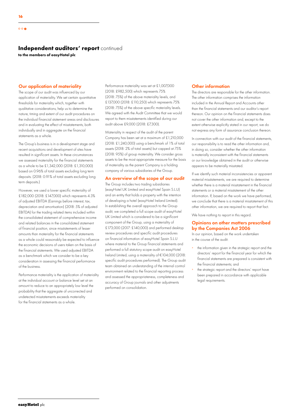# Independent **auditors' report** continued to the members of easyHotel plc

# Our application of materiality

The scope of our audit was influenced by our application of materiality. We set certain quantitative thresholds for materiality which, together with qualitative considerations, help us to determine the nature, timing and extent of our audit procedures on the individual financial statement areas and disclosures and in evaluating the effect of misstatements, both individually and in aggregate on the financial statements as a whole.

The Group's business is in a development stage and recent acquisitions and development of sites have resulted in significant assets. In these circumstances we assessed materiality for the financial statements as a whole to be £1,342,000 (2018: £1,310,000) based on 0.96% of total assets excluding long term deposits. (2018: 0.91% of total assets excluding long term deposits.)

However, we used a lower specific materiality of £182,000 (2018: £147,000) which represents 4.3% of adjusted EBITDA (Earnings before interest, tax, depreciation and amortisation) (2018: 5% of adjusted EBITDA) for the trading related items included within the consolidated statement of comprehensive income and related balances in the consolidated statement of financial position, since misstatements of lesser amounts than materiality for the financial statements as a whole could reasonably be expected to influence the economic decisions of users taken on the basis of the financial statements. We used adjusted EBITDA as a benchmark which we consider to be a key consideration in assessing the financial performance of the business.

Performance materiality is the application of materiality at the individual account or balance level set at an amount to reduce to an appropriately low level the probability that the aggregate of uncorrected and undetected misstatements exceeds materiality for the financial statements as a whole.

Performance materiality was set at £1,007,000 (2018: £982,500) which represents 75% (2018: 75%) of the above materiality levels, and £137,000 (2018: £110,250) which represents 75% (2018: 75%) of the above specific materiality levels. We agreed with the Audit Committee that we would report to them misstatements identified during our audit above £9,000 (2018: £7,300).

Materiality in respect of the audit of the parent Company has been set at a maximum of £1,210,000 (2018: £1,240,000) using a benchmark of 1% of total assets (2018: 2% of total assets) but capped at 75% (2018: 95%) of group materiality. We consider gross assets to be the most appropriate measure for the basis of materiality as the parent Company is a holding company of various subsidiaries of the Group.

## An overview of the scope of our audit

The Group includes two trading subsidiaries (easyHotel UK Limited and easyHotel Spain S.L.U) and an entity that holds a property with the intention of developing a hotel (easyHotel Ireland Limited). In establishing the overall approach to the Group audit, we completed a full scope audit of easyHotel UK Limited which is considered to be a significant component of the Group, using a materiality of £173,000 (2017: £140,000) and performed desktop review procedures and specific audit procedures on financial information of easyHotel Spain S.L.U where material to the Group financial statements and performed a full statutory scope audit on easyHotel Ireland Limited, using a materiality of €104,000 (2018: specific audit procedures performed). The Group audit team obtained an understanding of the internal control environment related to the financial reporting process and assessed the appropriateness, completeness and accuracy of Group journals and other adjustments performed on consolidation.

## Other information

The directors are responsible for the other information. The other information comprises the information included in the Annual Report and Accounts other than the financial statements and our auditor's report thereon. Our opinion on the financial statements does not cover the other information and, except to the extent otherwise explicitly stated in our report, we do not express any form of assurance conclusion thereon.

In connection with our audit of the financial statements, our responsibility is to read the other information and, in doing so, consider whether the other information is materially inconsistent with the financial statements or our knowledge obtained in the audit or otherwise appears to be materially misstated.

If we identify such material inconsistencies or apparent material misstatements, we are required to determine whether there is a material misstatement in the financial statements or a material misstatement of the other information. If, based on the work we have performed, we conclude that there is a material misstatement of this other information, we are required to report that fact.

We have nothing to report in this regard.

## Opinions on other matters prescribed by the Companies Act 2006

In our opinion, based on the work undertaken in the course of the audit:

- the information given in the strategic report and the directors' report for the financial year for which the financial statements are prepared is consistent with the financial statements; and
- the strategic report and the directors' report have been prepared in accordance with applicable legal requirements.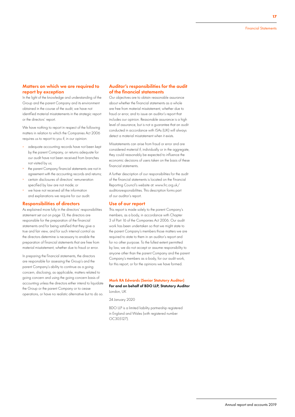# Matters on which we are required to report by exception

In the light of the knowledge and understanding of the Group and the parent Company and its environment obtained in the course of the audit, we have not identified material misstatements in the strategic report or the directors' report.

We have nothing to report in respect of the following matters in relation to which the Companies Act 2006 requires us to report to you if, in our opinion:

- » adequate accounting records have not been kept by the parent Company, or returns adequate for our audit have not been received from branches not visited by us;
- the parent Company financial statements are not in agreement with the accounting records and returns;
- » certain disclosures of directors' remuneration specified by law are not made; or
- » we have not received all the information and explanations we require for our audit.

#### Responsibilities of directors

As explained more fully in the directors' responsibilities statement set out on [page 13,](#page-14-0) the directors are responsible for the preparation of the financial statements and for being satisfied that they give a true and fair view, and for such internal control as the directors determine is necessary to enable the preparation of financial statements that are free from material misstatement, whether due to fraud or error.

In preparing the financial statements, the directors are responsible for assessing the Group's and the parent Company's ability to continue as a going concern, disclosing, as applicable, matters related to going concern and using the going concern basis of accounting unless the directors either intend to liquidate the Group or the parent Company or to cease operations, or have no realistic alternative but to do so.

# Auditor's responsibilities for the audit of the financial statements

Our objectives are to obtain reasonable assurance about whether the financial statements as a whole are free from material misstatement, whether due to fraud or error, and to issue an auditor's report that includes our opinion. Reasonable assurance is a high level of assurance, but is not a guarantee that an audit conducted in accordance with ISAs (UK) will always detect a material misstatement when it exists.

Misstatements can arise from fraud or error and are considered material if, individually or in the aggregate, they could reasonably be expected to influence the economic decisions of users taken on the basis of these financial statements.

A further description of our responsibilities for the audit of the financial statements is located on the Financial Reporting Council's website at: [www.frc.org.uk/](http://www.frc.org.uk/auditorsresponsibilities) [auditorsresponsibilities](http://www.frc.org.uk/auditorsresponsibilities). This description forms part of our auditor's report.

#### Use of our report

This report is made solely to the parent Company's members, as a body, in accordance with Chapter 3 of Part 16 of the Companies Act 2006. Our audit work has been undertaken so that we might state to the parent Company's members those matters we are required to state to them in an auditor's report and for no other purpose. To the fullest extent permitted by law, we do not accept or assume responsibility to anyone other than the parent Company and the parent Company's members as a body, for our audit work, for this report, or for the opinions we have formed.

#### Mark RA Edwards (Senior Statutory Auditor)

For and on behalf of BDO LLP, Statutory Auditor London, UK

24 January 2020

BDO LLP is a limited liability partnership registered in England and Wales (with registered number OC305127).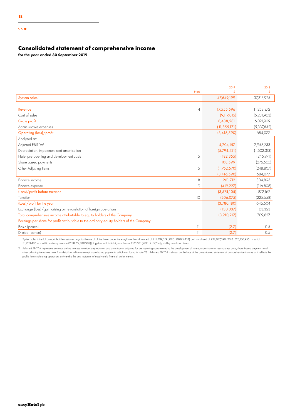# <span id="page-19-0"></span>**Consolidated statement of comprehensive income**

for the year ended 30 September 2019

|                                                                                          |                          | 2019           | 2018          |
|------------------------------------------------------------------------------------------|--------------------------|----------------|---------------|
|                                                                                          | Note                     | £              | £             |
| System sales <sup>1</sup>                                                                |                          | 47,649,199     | 37,313,925    |
|                                                                                          |                          |                |               |
| Revenue                                                                                  | 4                        | 17,555,596     | 11,253,872    |
| Cost of sales                                                                            |                          | (9,117,015)    | (5, 231, 963) |
| Gross profit                                                                             |                          | 8,438,581      | 6,021,909     |
| Administrative expenses                                                                  |                          | (11, 855, 171) | (5, 337, 832) |
| Operating (loss)/profit                                                                  |                          | (3,416,590)    | 684,077       |
| Analysed as:                                                                             |                          |                |               |
| Adjusted EBITDA <sup>2</sup>                                                             |                          | 4,204,157      | 2,958,733     |
| Depreciation, impairment and amortisation                                                |                          | (5,794,421)    | (1,502,313)   |
| Hotel pre-opening and development costs                                                  | 5                        | (182, 355)     | (246,971)     |
| Share based payments                                                                     |                          | 108,599        | (276, 565)    |
| Other Adjusting Items                                                                    | 5                        | (1,752,570)    | (248, 807)    |
|                                                                                          |                          | (3,416,590)    | 684,077       |
| Finance income                                                                           | 8                        | 261,712        | 304,893       |
| Finance expense                                                                          | 9                        | (419, 227)     | (116,808)     |
| (Loss)/profit before taxation                                                            |                          | (3,574,105)    | 872,162       |
| Taxation                                                                                 | 10                       | (206, 075)     | (225, 658)    |
| (Loss)/profit for the year                                                               |                          | (3,780,180)    | 646,504       |
| Exchange (loss)/gain arising on retranslation of foreign operations                      |                          | (130, 037)     | 63,323        |
| Total comprehensive income attributable to equity holders of the Company                 |                          | (3,910,217)    | 709,827       |
| Earnings per share for profit attributable to the ordinary equity holders of the Company |                          |                |               |
| Basic (pence)                                                                            | $\overline{\phantom{a}}$ | (2.7)          | 0.5           |
| Diluted (pence)                                                                          | $\overline{11}$          | (2.7)          | 0.5           |

1 System sales is the full amount that the customer pays for the use of all the hotels under the easyHotel brand (owned of £15,499,319 (2018: £9,075,454) and franchised of £32,077,090 (2018: £28,100,955) of which £1,983,487 was within statutory revenue (2018: £2,040,902)), together with initial sign on fees of £72,790 (2018: £137,516) paid by new franchisees.

2 Adjusted EBITDA represents earnings before interest, taxation, depreciation and amortisation adjusted for pre-opening costs related to the development of hotels, organisational restructuring costs, share based payments and other adjusting items (see [note 5](#page-33-0) for details of all items except share based payments, which can found in [note 28\)](#page-43-0). Adjusted EBITDA is shown on the face of the consolidated statement of comprehensive income as it reflects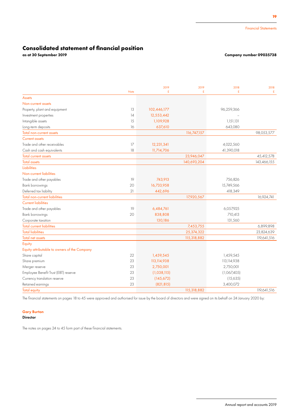# <span id="page-20-0"></span>**Consolidated statement of financial position**

as at 30 September 2019 Company number 09035738

|                                              |      | 2019               | 2019        | 2018        | 2018                 |
|----------------------------------------------|------|--------------------|-------------|-------------|----------------------|
|                                              | Note | $\hat{\mathbf{r}}$ | £           | £           | $\pmb{\mathfrak{L}}$ |
| <b>Assets</b>                                |      |                    |             |             |                      |
| Non-current assets                           |      |                    |             |             |                      |
| Property, plant and equipment                | 13   | 102,446,177        |             | 96,259,366  |                      |
| Investment properties                        | 14   | 12,553,442         |             |             |                      |
| Intangible assets                            | 15   | 1,109,928          |             | 1,151,131   |                      |
| Long-term deposits                           | 16   | 637,610            |             | 643,080     |                      |
| Total non-current assets                     |      |                    | 116,747,157 |             | 98,053,577           |
| <b>Current assets</b>                        |      |                    |             |             |                      |
| Trade and other receivables                  | 17   | 12,231,341         |             | 4,022,560   |                      |
| Cash and cash equivalents                    | 18   | 11,714,706         |             | 41,390,018  |                      |
| <b>Total current assets</b>                  |      |                    | 23,946,047  |             | 45,412,578           |
| <b>Total assets</b>                          |      |                    | 140,693,204 |             | 143,466,155          |
| <b>Liabilities</b>                           |      |                    |             |             |                      |
| Non-current liabilities                      |      |                    |             |             |                      |
| Trade and other payables                     | 19   | 743,913            |             | 756,826     |                      |
| Bank borrowings                              | 20   | 16,733,958         |             | 15,749,566  |                      |
| Deferred tax liability                       | 21   | 442,696            |             | 418,349     |                      |
| <b>Total non-current liabilities</b>         |      |                    | 17,920,567  |             | 16,924,741           |
| <b>Current liabilities</b>                   |      |                    |             |             |                      |
| Trade and other payables                     | 9    | 6,484,761          |             | 6,057,925   |                      |
| Bank borrowings                              | 20   | 838,808            |             | 710,413     |                      |
| Corporate taxation                           |      | 130,186            |             | 131,560     |                      |
| <b>Total current liabilities</b>             |      |                    | 7,453,755   |             | 6,899,898            |
| <b>Total liabilities</b>                     |      |                    | 25,374,322  |             | 23,824,639           |
| <b>Total net assets</b>                      |      |                    | 115,318,882 |             | 119,641,516          |
| Equity                                       |      |                    |             |             |                      |
| Equity attributable to owners of the Company |      |                    |             |             |                      |
| Share capital                                | 22   | 1,459,545          |             | 1,459,545   |                      |
| Share premium                                | 23   | 113,114,938        |             | 113,114,938 |                      |
| Merger reserve                               | 23   | 2,750,001          |             | 2,750,001   |                      |
| Employee Benefit Trust (EBT) reserve         | 23   | (1,038,115)        |             | (1,067,405) |                      |
| Currency translation reserve                 | 23   | (145, 672)         |             | (15,635)    |                      |
| Retained earnings                            | 23   | (821, 815)         |             | 3,400,072   |                      |
| <b>Total equity</b>                          |      |                    | 115,318,882 |             | 119,641,516          |

The financial statements on [pages 18](#page-19-0) to [45](#page-46-0) were approved and authorised for issue by the board of directors and were signed on its behalf on 24 January 2020 by:

# Gary Burton

Director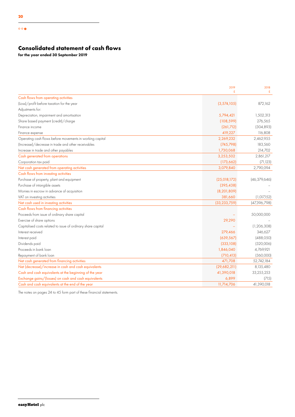# <span id="page-21-0"></span>**Consolidated statement of cash flows**

for the year ended 30 September 2019

|                                                              | 2019           | 2018           |
|--------------------------------------------------------------|----------------|----------------|
|                                                              | ¢              | £              |
| Cash flows from operating activities                         |                |                |
| (Loss)/profit before taxation for the year                   | (3,574,105)    | 872,162        |
| Adjustments for:                                             |                |                |
| Depreciation, impairment and amortisation                    | 5,794,421      | 1,502,313      |
| Share based payment (credit)/charge                          | (108, 599)     | 276,565        |
| Finance income                                               | (261,712)      | (304, 893)     |
| Finance expense                                              | 419,227        | 116,808        |
| Operating cash flows before movements in working capital     | 2,269,232      | 2,462,955      |
| (Increase)/decrease in trade and other receivables           | (745, 798)     | 183,560        |
| Increase in trade and other payables                         | 1,730,068      | 214,702        |
| Cash generated from operations                               | 3,253,502      | 2,861,217      |
| Corporation tax paid                                         | (173, 662)     | (71, 123)      |
| Net cash generated from operating activities                 | 3,079,840      | 2,790,094      |
| Cash flows from investing activities                         |                |                |
| Purchase of property, plant and equipment                    | (25,018,172)   | (46, 379, 646) |
| Purchase of intangible assets                                | (395, 438)     |                |
| Monies in escrow in advance of acquisition                   | (8, 201, 809)  |                |
| VAT on investing activities                                  | 381,660        | (1,017,152)    |
| Net cash used in investing activities                        | (33, 233, 759) | (47,396,798)   |
| Cash flows from financing activities                         |                |                |
| Proceeds from issue of ordinary share capital                |                | 50,000,000     |
| Exercise of share options                                    | 29,290         |                |
| Capitalised costs related to issue of ordinary share capital |                | (1, 206, 308)  |
| Interest received                                            | 279,466        | 346,627        |
| Interest paid                                                | (639, 567)     | (488,050)      |
| Dividends paid                                               | (333, 108)     | (320,006)      |
| Proceeds in bank loan                                        | 1,846,040      | 4,769,921      |
| Repayment of bank loan                                       | (710, 413)     | (360,000)      |
| Net cash generated from financing activities                 | 471,708        | 52,742,184     |
| Net (decrease)/increase in cash and cash equivalents         | (29,682,211)   | 8,135,480      |
| Cash and cash equivalents at the beginning of the year       | 41,390,018     | 33,255,253     |
| Exchange gains/(losses) on cash and cash equivalents         | 6,899          | (715)          |
| Cash and cash equivalents at the end of the year             | 11,714,706     | 41,390,018     |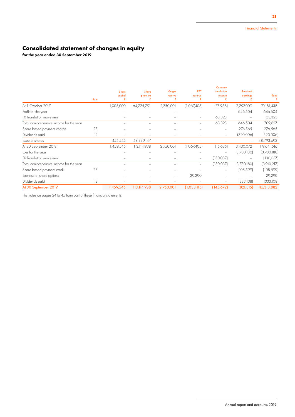# <span id="page-22-0"></span>**Consolidated statement of changes in equity**

for the year ended 30 September 2019

|                                         | Note | Share<br>capital<br>£ | Share<br>premium<br>£ | Merger<br>reserve<br>£ | EBT<br>reserve<br>£ | Currency<br>translation<br>reserve<br>£ | <b>Retained</b><br>earnings | Total<br>£  |
|-----------------------------------------|------|-----------------------|-----------------------|------------------------|---------------------|-----------------------------------------|-----------------------------|-------------|
| At 1 October 2017                       |      | 1,005,000             | 64,775,791            | 2,750,001              | (1,067,405)         | (78, 958)                               | 2,797,009                   | 70,181,438  |
| Profit for the year                     |      |                       |                       |                        |                     |                                         | 646,504                     | 646,504     |
| FX Translation movement                 |      |                       | $\qquad \qquad =$     | $\qquad \qquad =$      | -                   | 63,323                                  |                             | 63,323      |
| Total comprehensive income for the year |      |                       |                       |                        |                     | 63,323                                  | 646,504                     | 709,827     |
| Share based payment charge              | 28   |                       |                       |                        |                     | $\overline{\phantom{0}}$                | 276,565                     | 276,565     |
| Dividends paid                          | 12   |                       |                       |                        |                     | $\qquad \qquad =$                       | (320,006)                   | (320,006)   |
| Issue of shares                         |      | 454,545               | 48,339,147            |                        |                     |                                         |                             | 48,793,692  |
| At 30 September 2018                    |      | 1,459,545             | 113,114,938           | 2,750,001              | (1,067,405)         | 15,635)                                 | 3,400,072                   | 119,641,516 |
| Loss for the year                       |      |                       |                       |                        |                     | $\qquad \qquad =$                       | (3,780,180)                 | (3,780,180) |
| <b>FX Translation movement</b>          |      |                       | $\equiv$              |                        | -                   | (130, 037)                              |                             | (130,037)   |
| Total comprehensive income for the year |      |                       |                       |                        |                     | (130,037)                               | (3,780,180)                 | (3,910,217) |
| Share based payment credit              | 28   |                       |                       |                        |                     |                                         | (108, 599)                  | (108, 599)  |
| Exercise of share options               |      |                       |                       |                        | 29,290              |                                         |                             | 29,290      |
| Dividends paid                          | 12   |                       |                       |                        | -                   | $\qquad \qquad =$                       | (333, 108)                  | (333,108)   |
| At 30 September 2019                    |      | 1,459,545             | 113,114,938           | 2,750,001              | (1,038,115)         | (145,672)                               | (821, 815)                  | 115,318,882 |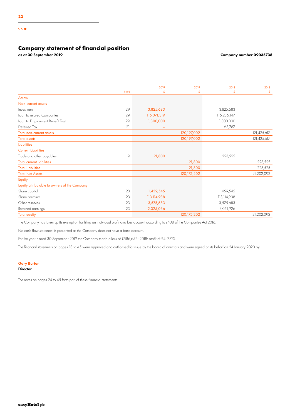# <span id="page-23-0"></span>**Company statement of financial position**

# as at 30 September 2019 Company number 09035738

|                                              |      | 2019        | 2019          | 2018        | 2018        |
|----------------------------------------------|------|-------------|---------------|-------------|-------------|
|                                              | Note | £           | £             | £           | $\mathbf f$ |
| <b>Assets</b>                                |      |             |               |             |             |
| Non-current assets                           |      |             |               |             |             |
| Investment                                   | 29   | 3,825,683   |               | 3,825,683   |             |
| Loan to related Companies                    | 29   | 115,071,319 |               | 116,236,147 |             |
| Loan to Employment Benefit Trust             | 29   | 1,300,000   |               | 1,300,000   |             |
| Deferred Tax                                 | 21   |             |               | 63,787      |             |
| Total non-current assets                     |      |             | 120,197,002   |             | 121,425,617 |
| <b>Total assets</b>                          |      |             | 120,197,002   |             | 121,425,617 |
| <b>Liabilities</b>                           |      |             |               |             |             |
| <b>Current Liabilities</b>                   |      |             |               |             |             |
| Trade and other payables                     | 9    | 21,800      |               | 223,525     |             |
| <b>Total current liabilities</b>             |      |             | 21,800        |             | 223,525     |
| <b>Total Liabilities</b>                     |      |             | 21,800        |             | 223,525     |
| <b>Total Net Assets</b>                      |      |             | 120,175,202   |             | 121,202,092 |
| Equity                                       |      |             |               |             |             |
| Equity attributable to owners of the Company |      |             |               |             |             |
| Share capital                                | 23   | 1,459,545   |               | 1,459,545   |             |
| Share premium                                | 23   | 113,114,938 |               | 113,114,938 |             |
| Other reserves                               | 23   | 3,575,683   |               | 3,575,683   |             |
| Retained earnings                            | 23   | 2,025,036   |               | 3,051,926   |             |
| <b>Total equity</b>                          |      |             | 120, 175, 202 |             | 121,202,092 |

The Company has taken up its exemption for filing an individual profit and loss account according to s408 of the Companies Act 2016.

No cash flow statement is presented as the Company does not have a bank account.

For the year ended 30 September 2019 the Company made a loss of £586,652 (2018: profit of £419,774).

The financial statements on [pages 18](#page-19-0) to [45 w](#page-46-0)ere approved and authorised for issue by the board of directors and were signed on its behalf on 24 January 2020 by:

# Gary Burton

#### Director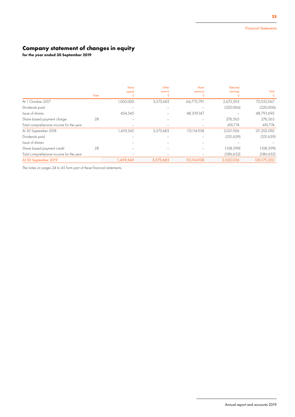# <span id="page-24-0"></span>**Company statement of changes in equity**

for the year ended 30 September 2019

|                                         |      | Share     | Other     | Share       | Retained   |             |
|-----------------------------------------|------|-----------|-----------|-------------|------------|-------------|
|                                         |      | capital   | reserve   | premium     | earnings   | Total       |
|                                         | Note | £         | £         | £           |            | £           |
| At 1 October 2017                       |      | 1,005,000 | 3,575,683 | 64,775,791  | 2,675,593  | 72,032,067  |
| Dividends paid                          |      |           |           |             | (320,006)  | (320,006)   |
| Issue of shares                         |      | 454,545   |           | 48,339,147  |            | 48,793,692  |
| Share based payment charge              | 28   |           |           |             | 276,565    | 276,565     |
| Total comprehensive income for the year |      |           |           |             | 419,774    | 419,774     |
| At 30 September 2018                    |      | 1,459,545 | 3,575,683 | 113,114,938 | 3,051,926  | 121,202,092 |
| Dividends paid                          |      |           |           |             | (331,639)  | (331,639)   |
| Issue of shares                         |      |           |           |             |            |             |
| Share based payment credit              | 28   |           |           |             | (108, 599) | (108, 599)  |
| Total comprehensive income for the year |      |           |           |             | (586, 652) | (586, 652)  |
| At 30 September 2019                    |      | 1,459,545 | 3,575,683 | 113,114,938 | 2,025,036  | 120.175.202 |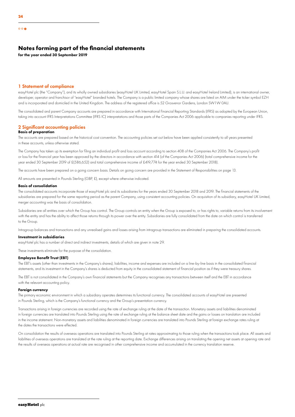# <span id="page-25-0"></span>**Notes forming part of the financial statements**

for the year ended 30 September 2019

#### 1 Statement of compliance

easyHotel plc (the "Company"), and its wholly owned subsidiaries (easyHotel UK Limited, easyHotel Spain S.L.U. and easyHotel Ireland Limited), is an international owner, developer, operator and franchisor of "easyHotel" branded hotels. The Company is a public limited company whose shares are listed on AIM under the ticker symbol EZH and is incorporated and domiciled in the United Kingdom. The address of the registered office is 52 Grosvenor Gardens, London SW1W 0AU.

The consolidated and parent Company accounts are prepared in accordance with International Financial Reporting Standards (IFRS) as adopted by the European Union, taking into account IFRS Interpretations Committee (IFRS IC) interpretations and those parts of the Companies Act 2006 applicable to companies reporting under IFRS.

## 2 Significant accounting policies

# Basis of preparation

The accounts are prepared based on the historical cost convention. The accounting policies set out below have been applied consistently to all years presented in these accounts, unless otherwise stated.

The Company has taken up its exemption for filing an individual profit and loss account according to section 408 of the Companies Act 2006. The Company's profit or loss for the financial year has been approved by the directors in accordance with section 414 (of the Companies Act 2006) (total comprehensive income for the year ended 30 September 2019 of £(586,652) and total comprehensive income of £419,774 for the year ended 30 September 2018).

The accounts have been prepared on a going concern basis. Details on going concern are provided in the Statement of Responsibilities on [page 13.](#page-14-0)

All amounts are presented in Pounds Sterling (GBP, £), except where otherwise indicated.

#### Basis of consolidation

The consolidated accounts incorporate those of easyHotel plc and its subsidiaries for the years ended 30 September 2018 and 2019. The financial statements of the subsidiaries are prepared for the same reporting period as the parent Company, using consistent accounting policies. On acquisition of its subsidiary, easyHotel UK Limited, merger accounting was the basis of consolidation.

Subsidiaries are all entities over which the Group has control. The Group controls an entity when the Group is exposed to, or has rights to, variable returns from its involvement with the entity and has the ability to affect those returns through its power over the entity. Subsidiaries are fully consolidated from the date on which control is transferred to the Group.

Intragroup balances and transactions and any unrealised gains and losses arising from intragroup transactions are eliminated in preparing the consolidated accounts.

#### Investment in subsidiaries

easyHotel plc has a number of direct and indirect investments, details of which are given in [note 29.](#page-44-0)

These investments eliminate for the purpose of the consolidation.

#### Employee Benefit Trust (EBT)

The EBT's assets (other than investments in the Company's shares), liabilities, income and expenses are included on a line-by-line basis in the consolidated financial statements, and its investment in the Company's shares is deducted from equity in the consolidated statement of financial position as if they were treasury shares.

The EBT is not consolidated in the Company's own financial statements but the Company recognises any transactions between itself and the EBT in accordance with the relevant accounting policy.

#### Foreign currency

The primary economic environment in which a subsidiary operates determines its functional currency. The consolidated accounts of easyHotel are presented in Pounds Sterling, which is the Company's functional currency and the Group's presentation currency.

Transactions arising in foreign currencies are recorded using the rate of exchange ruling at the date of the transaction. Monetary assets and liabilities denominated in foreign currencies are translated into Pounds Sterling using the rate of exchange ruling at the balance sheet date and the gains or losses on translation are included in the income statement. Non-monetary assets and liabilities denominated in foreign currencies are translated into Pounds Sterling at foreign exchange rates ruling at the dates the transactions were effected.

On consolidation the results of overseas operations are translated into Pounds Sterling at rates approximating to those ruling when the transactions took place. All assets and liabilities of overseas operations are translated at the rate ruling at the reporting date. Exchange differences arising on translating the opening net assets at opening rate and the results of overseas operations at actual rate are recognised in other comprehensive income and accumulated in the currency translation reserve.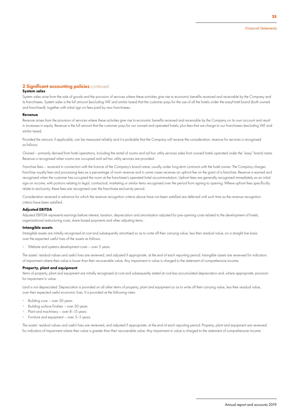# 2 Significant accounting policies continued

# System sales

System sales arise from the sale of goods and the provision of services where these activities give rise to economic benefits received and receivable by the Company and its franchisees. System sales is the full amount (excluding VAT and similar taxes) that the customer pays for the use of all the hotels under the easyHotel brand (both owned and franchised), together with initial sign on fees paid by new franchisees.

#### Revenue

Revenue arises from the provision of services where these activities give rise to economic benefits received and receivable by the Company on its own account and result in increases in equity. Revenue is the full amount that the customer pays for our owned and operated hotels, plus fees that we charge to our franchisees (excluding VAT and similar taxes).

Provided the amount, if applicable, can be measured reliably and it is probable that the Company will receive the consideration, revenue for services is recognised as follows:

*Owned* – primarily derived from hotel operations, including the rental of rooms and ad hoc utility services sales from owned hotels operated under the "easy" brand name. Revenue is recognised when rooms are occupied and ad hoc utility services are provided.

*Franchise fees* – received in connection with the licence of the Company's brand name, usually under long-term contracts with the hotel owner. The Company charges franchise royalty fees and processing fees as a percentage of room revenue and in some cases receives an upfront fee on the grant of a franchise. Revenue is earned and recognised when the customer has occupied the room at the franchisee's operated hotel accommodation. Upfront fees are generally recognised immediately as an initial sign-on income, with portions relating to legal, contractual, marketing or similar items recognised over the period from signing to opening. Where upfront fees specifically relate to exclusivity, these fees are recognised over the franchisee exclusivity period.

Consideration received in advance for which the revenue recognition criteria above have not been satisfied are deferred until such time as the revenue recognition criteria have been satisfied.

#### Adjusted EBITDA

Adjusted EBITDA represents earnings before interest, taxation, depreciation and amortisation adjusted for pre-opening costs related to the development of hotels, organisational restructuring costs, share based payments and other adjusting items.

#### Intangible assets

Intangible assets are initially recognised at cost and subsequently amortised so as to write off their carrying value, less their residual value, on a straight line basis over the expected useful lives of the assets as follows:

» Website and systems development costs – over 5 years

The assets' residual values and useful lives are reviewed, and adjusted if appropriate, at the end of each reporting period. Intangible assets are reviewed for indicators of impairment where their value is lower than their recoverable value. Any impairment in value is charged to the statement of comprehensive income.

#### Property, plant and equipment

Items of property, plant and equipment are initially recognised at cost and subsequently stated at cost less accumulated depreciation and, where appropriate, provision for impairment in value.

Land is not depreciated. Depreciation is provided on all other items of property, plant and equipment so as to write off their carrying value, less their residual value, over their expected useful economic lives. It is provided at the following rates:

- » Building core over 50 years
- » Building surface finishes over 20 years
- » Plant and machinery over 8–15 years
- » Furniture and equipment over 3–5 years

The assets' residual values and useful lives are reviewed, and adjusted if appropriate, at the end of each reporting period. Property, plant and equipment are reviewed for indicators of impairment where their value is greater than their recoverable value. Any impairment in value is charged to the statement of comprehensive income.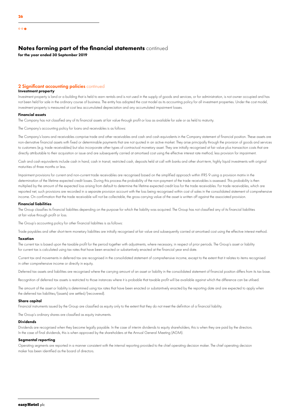# **Notes forming part of the financial statements** continued

for the year ended 30 September 2019

## 2 Significant accounting policies continued

#### Investment property

Investment property is land or a building that is held to earn rentals and is not used in the supply of goods and services, or for administration, is not owner occupied and has not been held for sale in the ordinary course of business. The entity has adopted the cost model as its accounting policy for all investment properties. Under the cost model, investment property is measured at cost less accumulated depreciation and any accumulated impairment losses.

#### Financial assets

The Company has not classified any of its financial assets at fair value through profit or loss as available for sale or as held to maturity.

The Company's accounting policy for loans and receivables is as follows:

The Company's loans and receivables comprise trade and other receivables and cash and cash equivalents in the Company statement of financial position. These assets are non-derivative financial assets with fixed or determinable payments that are not quoted in an active market. They arise principally through the provision of goods and services to customers (e.g. trade receivables) but also incorporate other types of contractual monetary asset. They are initially recognised at fair value plus transaction costs that are directly attributable to their acquisition or issue and are subsequently carried at amortised cost using the effective interest rate method, less provision for impairment.

Cash and cash equivalents include cash in hand, cash in transit, restricted cash, deposits held at call with banks and other short-term, highly liquid investments with original maturities of three months or less.

Impairment provisions for current and non-current trade receivables are recognised based on the simplified approach within IFRS 9 using a provision matrix in the determination of the lifetime expected credit losses. During this process the probability of the non-payment of the trade receivables is assessed. This probability is then multiplied by the amount of the expected loss arising from default to determine the lifetime expected credit loss for the trade receivables. For trade receivables, which are reported net, such provisions are recorded in a separate provision account with the loss being recognised within cost of sales in the consolidated statement of comprehensive income. On confirmation that the trade receivable will not be collectable, the gross carrying value of the asset is written off against the associated provision.

#### Financial liabilities

The Group classifies its financial liabilities depending on the purpose for which the liability was acquired. The Group has not classified any of its financial liabilities at fair value through profit or loss.

The Group's accounting policy for other financial liabilities is as follows:

Trade payables and other short-term monetary liabilities are initially recognised at fair value and subsequently carried at amortised cost using the effective interest method.

#### **Taxation**

The current tax is based upon the taxable profit for the period together with adjustments, where necessary, in respect of prior periods. The Group's asset or liability for current tax is calculated using tax rates that have been enacted or substantively enacted at the financial year end date.

Current tax and movements in deferred tax are recognised in the consolidated statement of comprehensive income, except to the extent that it relates to items recognised in other comprehensive income or directly in equity.

Deferred tax assets and liabilities are recognised where the carrying amount of an asset or liability in the consolidated statement of financial position differs from its tax base.

Recognition of deferred tax assets is restricted to those instances where it is probable that taxable profit will be available against which the difference can be utilised.

The amount of the asset or liability is determined using tax rates that have been enacted or substantively enacted by the reporting date and are expected to apply when the deferred tax liabilities/(assets) are settled/(recovered).

#### Share capital

Financial instruments issued by the Group are classified as equity only to the extent that they do not meet the definition of a financial liability.

The Group's ordinary shares are classified as equity instruments.

#### Dividends

Dividends are recognised when they become legally payable. In the case of interim dividends to equity shareholders, this is when they are paid by the directors. In the case of final dividends, this is when approved by the shareholders at the Annual General Meeting (AGM).

#### Seamental reporting

Operating segments are reported in a manner consistent with the internal reporting provided to the chief operating decision maker. The chief operating decision maker has been identified as the board of directors.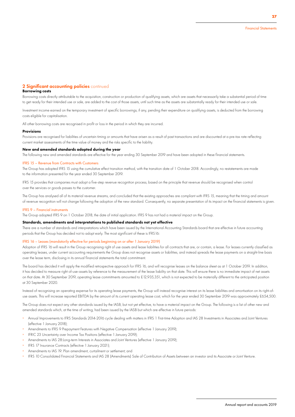# 2 Significant accounting policies continued

#### Borrowing costs

Borrowing costs directly attributable to the acquisition, construction or production of qualifying assets, which are assets that necessarily take a substantial period of time to get ready for their intended use or sale, are added to the cost of those assets, until such time as the assets are substantially ready for their intended use or sale.

Investment income earned on the temporary investment of specific borrowings, if any, pending their expenditure on qualifying assets, is deducted from the borrowing costs eligible for capitalisation.

All other borrowing costs are recognised in profit or loss in the period in which they are incurred.

#### Provisions

Provisions are recognised for liabilities of uncertain timing or amounts that have arisen as a result of past transactions and are discounted at a pre-tax rate reflecting current market assessments of the time value of money and the risks specific to the liability.

#### New and amended standards adopted during the year

The following new and amended standards are effective for the year ending 30 September 2019 and have been adopted in these financial statements.

#### IFRS 15 – Revenue from Contracts with Customers

The Group has adopted IFRS 15 using the cumulative effect transition method, with the transition date of 1 October 2018. Accordingly, no restatements are made to the information presented for the year ended 30 September 2019.

IFRS 15 provides that companies must adopt a five-step revenue recognition process, based on the principle that revenue should be recognised when control over the services or goods passes to the customer.

The Group has analysed all of its material revenue streams, and concluded that the existing approaches are compliant with IFRS 15, meaning that the timing and amount of revenue recognition will not change following the adoption of the new standard. Consequently, no separate presentation of its impact on the financial statements is given.

#### IFRS 9 – Financial instruments

The Group adopted IFRS 9 on 1 October 2018, the date of initial application. IFRS 9 has not had a material impact on the Group.

#### Standards, amendments and interpretations to published standards not yet effective

There are a number of standards and interpretations which have been issued by the International Accounting Standards board that are effective in future accounting periods that the Group has decided not to adopt early. The most significant of these is IFRS16:

#### IFRS 16 – Leases (mandatorily effective for periods beginning on or after 1 January 2019)

Adoption of IFRS 16 will result in the Group recognising right of use assets and lease liabilities for all contracts that are, or contain, a lease. For leases currently classified as operating leases, under current accounting requirements the Group does not recognise assets or liabilities, and instead spreads the lease payments on a straight-line basis over the lease term, disclosing in its annual financial statements the total commitment.

The board has decided it will apply the modified retrospective approach for IFRS 16, and will recognise leases on the balance sheet as at 1 October 2019. In addition, it has decided to measure right of-use-assets by reference to the measurement of the lease liability on that date. This will ensure there is no immediate impact of net assets on that date. At 30 September 2019, operating lease commitments amounted to £12,935,351, which is not expected to be materially different to the anticipated position at 30 September 2020.

Instead of recognising an operating expense for its operating lease payments, the Group will instead recognise interest on its lease liabilities and amortisation on its right-ofuse assets. This will increase reported EBITDA by the amount of its current operating lease cost, which for the year ended 30 September 2019 was approximately £654,500.

The Group does not expect any other standards issued by the IASB, but not yet effective, to have a material impact on the Group. The following is a list of other new and amended standards which, at the time of writing, had been issued by the IASB but which are effective in future periods:

- » Annual Improvements to IFRS Standards 2014-2016 cycle dealing with matters in IFRS 1 First-time Adoption and IAS 28 Investments in Associates and Joint Ventures (effective 1 January 2018);
- » Amendments to IFRS 9 Prepayment Features with Negative Compensation (effective 1 January 2019);
- » IFRIC 23 Uncertainty over Income Tax Positions (effective 1 January 2019);
- » Amendments to IAS 28:Long-term Interests in Associates and Joint Ventures (effective 1 January 2019);
- » IFRS 17 Insurance Contracts (effective 1 January 2021);
- » Amendments to IAS 19: Plan amendment, curtailment or settlement; and
- » IFRS 10 Consolidated Financial Statements and IAS 28 (Amendments) Sale of Contribution of Assets between an investor and its Associate or Joint Venture.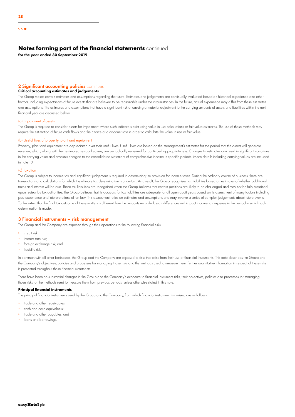# <span id="page-29-0"></span>**Notes forming part of the financial statements** continued

for the year ended 30 September 2019

#### 2 Significant accounting policies continued

# Critical accounting estimates and judgements

The Group makes certain estimates and assumptions regarding the future. Estimates and judgements are continually evaluated based on historical experience and other factors, including expectations of future events that are believed to be reasonable under the circumstances. In the future, actual experience may differ from these estimates and assumptions. The estimates and assumptions that have a significant risk of causing a material adjustment to the carrying amounts of assets and liabilities within the next financial year are discussed below.

#### (a) Impairment of assets

The Group is required to consider assets for impairment where such indicators exist using value in use calculations or fair value estimates. The use of these methods may require the estimation of future cash flows and the choice of a discount rate in order to calculate the value in use or fair value.

#### (b) Useful lives of property, plant and equipment

Property, plant and equipment are depreciated over their useful lives. Useful lives are based on the management's estimates for the period that the assets will generate revenue, which, along with their estimated residual values, are periodically reviewed for continued appropriateness. Changes to estimates can result in significant variations in the carrying value and amounts charged to the consolidated statement of comprehensive income in specific periods. More details including carrying values are included in [note 13](#page-37-0).

#### (c) Taxation

The Group is subject to income tax and significant judgement is required in determining the provision for income taxes. During the ordinary course of business, there are transactions and calculations for which the ultimate tax determination is uncertain. As a result, the Group recognises tax liabilities based on estimates of whether additional taxes and interest will be due. These tax liabilities are recognised when the Group believes that certain positions are likely to be challenged and may not be fully sustained upon review by tax authorities. The Group believes that its accruals for tax liabilities are adequate for all open audit years based on its assessment of many factors including past experience and interpretations of tax law. This assessment relies on estimates and assumptions and may involve a series of complex judgements about future events. To the extent that the final tax outcome of these matters is different than the amounts recorded, such differences will impact income tax expense in the period in which such determination is made.

#### 3 Financial instruments – risk management

The Group and the Company are exposed through their operations to the following financial risks:

- » credit risk;
- » interest rate risk;
- foreign exchange risk; and
- liquidity risk

In common with all other businesses, the Group and the Company are exposed to risks that arise from their use of financial instruments. This note describes the Group and the Company's objectives, policies and processes for managing those risks and the methods used to measure them. Further quantitative information in respect of these risks is presented throughout these financial statements.

There have been no substantial changes in the Group and the Company's exposure to financial instrument risks, their objectives, policies and processes for managing those risks, or the methods used to measure them from previous periods, unless otherwise stated in this note.

#### Principal financial instruments

The principal financial instruments used by the Group and the Company, from which financial instrument risk arises, are as follows:

- » trade and other receivables;
- cash and cash equivalents
- » trade and other payables; and
- loans and borrowings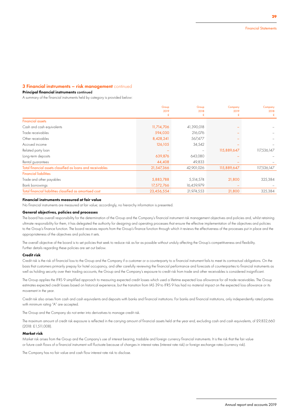#### 3 Financial instruments - risk management continued

# Principal financial instruments continued

A summary of the financial instruments held by category is provided below:

|                                                            | Group<br>2019 | Group<br>2018 | Company<br>2019 | Company<br>2018 |
|------------------------------------------------------------|---------------|---------------|-----------------|-----------------|
|                                                            | £             | £             | £               |                 |
| <b>Financial assets</b>                                    |               |               |                 |                 |
| Cash and cash equivalents                                  | 11,714,706    | 41,390,018    |                 |                 |
| Trade receivables                                          | 594,030       | 216,076       |                 |                 |
| Other receivables                                          | 8,428,241     | 567,477       |                 |                 |
| Accrued income                                             | 126,105       | 34,542        |                 |                 |
| Related party loan                                         |               |               | 115,889,647     | 117,536,147     |
| Long-term deposits                                         | 639,876       | 643,080       |                 |                 |
| Rental guarantees                                          | 44,408        | 49,833        |                 |                 |
| Total financial assets classified as loans and receivables | 21,547,366    | 42,901,026    | 115,889,647     | 117,536,147     |
| <b>Financial liabilities</b>                               |               |               |                 |                 |
| Trade and other payables                                   | 5,883,788     | 5,514,574     | 21,800          | 325,384         |
| Bank borrowings                                            | 17,572,766    | 16,459,979    |                 |                 |
| Total financial liabilities classified as amortised cost   | 23,456,554    | 21,974,553    | 21,800          | 325,384         |

#### Financial instruments measured at fair value

No financial instruments are measured at fair value; accordingly, no hierarchy information is presented.

#### General objectives, policies and processes

The board has overall responsibility for the determination of the Group and the Company's financial instrument risk management objectives and policies and, whilst retaining ultimate responsibility for them, it has delegated the authority for designing and operating processes that ensure the effective implementation of the objectives and policies to the Group's finance function. The board receives reports from the Group's finance function through which it reviews the effectiveness of the processes put in place and the appropriateness of the objectives and policies it sets.

The overall objective of the board is to set policies that seek to reduce risk as far as possible without unduly affecting the Group's competitiveness and flexibility. Further details regarding these policies are set out below.

#### Credit risk

Credit risk is the risk of financial loss to the Group and the Company if a customer or a counterparty to a financial instrument fails to meet its contractual obligations. On the basis that customers primarily prepay for hotel occupancy, and after carefully reviewing the financial performance and forecasts of counterparties to financial instruments as well as holding security over their trading accounts, the Group and the Company's exposure to credit risk from trade and other receivables is considered insignificant.

The Group applies the IFRS 9 simplified approach to measuring expected credit losses which used a lifetime expected loss allowance for all trade receivables. The Group estimates expected credit losses based on historical experience, but the transition from IAS 39 to IFRS 9 has had no material impact on the expected loss allowance or its movement in the year.

Credit risk also arises from cash and cash equivalents and deposits with banks and financial institutions. For banks and financial institutions, only independently rated parties with minimum rating "A" are accepted.

The Group and the Company do not enter into derivatives to manage credit risk.

The maximum amount of credit risk exposure is reflected in the carrying amount of financial assets held at the year end, excluding cash and cash equivalents, of £9,832,660 (2018: £1,511,008).

#### Market risk

Market risk arises from the Group and the Company's use of interest bearing, tradable and foreign currency financial instruments. It is the risk that the fair value or future cash flows of a financial instrument will fluctuate because of changes in interest rates (interest rate risk) or foreign exchange rates (currency risk).

The Company has no fair value and cash flow interest rate risk to disclose.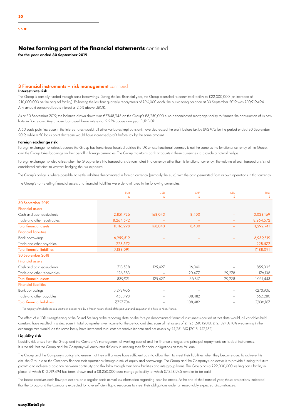# **Notes forming part of the financial statements** continued

for the year ended 30 September 2019

#### 3 Financial instruments - risk management continued Interest rate risk

The Group is partially funded through bank borrowings. During the last financial year, the Group extended its committed facility to £22,000,000 (an increase of £10,000,000 on the original facility). Following the last four quarterly repayments of £90,000 each, the outstanding balance at 30 September 2019 was £10,919,494. Any amount borrowed bears interest at 2.5% above LIBOR.

As at 30 September 2019, the balance drawn down was €7,848,945 on the Group's €8,250,000 euro-denominated mortgage facility to finance the construction of its new hotel in Barcelona. Any amount borrowed bears interest at 2.25% above one year EURIBOR.

A 50 basis point increase in the interest rates would, all other variables kept constant, have decreased the profit before tax by £92,976 for the period ended 30 September 2019, while a 50 basis point decrease would have increased profit before tax by the same amount.

#### Foreign exchange risk

Foreign exchange risk arises because the Group has franchisees located outside the UK whose functional currency is not the same as the functional currency of the Group, and the Group takes bookings on their behalf in foreign currencies. The Group maintains bank accounts in these currencies to provide a natural hedge.

Foreign exchange risk also arises when the Group enters into transactions denominated in a currency other than its functional currency. The volume of such transactions is not considered sufficient to warrant hedging the risk exposure.

The Group's policy is, where possible, to settle liabilities denominated in foreign currency (primarily the euro) with the cash generated from its own operations in that currency.

The Group's non-Sterling financial assets and financial liabilities were denominated in the following currencies:

|                                          | <b>EUR</b> | <b>USD</b> | CHF     | <b>AED</b> | Total      |
|------------------------------------------|------------|------------|---------|------------|------------|
|                                          | £          | £          | £       | £          | £          |
| 30 September 2019                        |            |            |         |            |            |
| <b>Financial assets</b>                  |            |            |         |            |            |
| Cash and cash equivalents                | 2,851,726  | 168,043    | 8,400   |            | 3,028,169  |
| Trade and other receivables <sup>1</sup> | 8,264,572  |            |         |            | 8,264,572  |
| <b>Total financial assets</b>            | 11,116,298 | 168,043    | 8,400   |            | 11,292,741 |
| <b>Financial liabilities</b>             |            |            |         |            |            |
| Bank borrowings                          | 6,959,519  |            |         |            | 6,959,519  |
| Trade and other payables                 | 228,572    |            |         |            | 228,572    |
| <b>Total financial liabilities</b>       | 7,188,091  |            |         |            | 7,188,091  |
| 30 September 2018                        |            |            |         |            |            |
| <b>Financial assets</b>                  |            |            |         |            |            |
| Cash and cash equivalents                | 713,538    | 125,427    | 16,340  |            | 855,305    |
| Trade and other receivables              | 126,383    |            | 20,477  | 29,278     | 176,138    |
| <b>Total financial assets</b>            | 839,921    | 125,427    | 36,817  | 29,278     | 1,031,443  |
| <b>Financial liabilities</b>             |            |            |         |            |            |
| Bank borrowings                          | 7,273,906  |            |         |            | 7,273,906  |
| Trade and other payables                 | 453,798    |            | 108,482 | -          | 562,280    |
| <b>Total financial liabilities</b>       | 7,727,704  |            | 108,482 |            | 7,836,187  |

1 The majority of this balance is a short term deposit held by a French notary ahead of the post year and acquisition of a hotel in Nice, France.

The effect of a 10% strengthening of the Pound Sterling at the reporting date on the foreign denominated financial instruments carried at that date would, all variables held constant, have resulted in a decrease in total comprehensive income for the period and decrease of net assets of £1,251,610 (2018: £12,182). A 10% weakening in the exchange rate would, on the same basis, have increased total comprehensive income and net assets by £1,251,610 (2018: £12,182).

#### Liquidity risk

Liquidity risk arises from the Group and the Company's management of working capital and the finance charges and principal repayments on its debt instruments. It is the risk that the Group and the Company will encounter difficulty in meeting their financial obligations as they fall due.

The Group and the Company's policy is to ensure that they will always have sufficient cash to allow them to meet their liabilities when they become due. To achieve this aim, the Group and the Company finance their operations through a mix of equity and borrowings. The Group and the Company's objective is to provide funding for future growth and achieve a balance between continuity and flexibility through their bank facilities and intergroup loans. The Group has a £22,000,000 sterling bank facility in place, of which £10,919,494 has been drawn and a €8,250,000 euro mortgage facility, of which €7,848,945 remains to be paid.

The board receives cash flow projections on a regular basis as well as information regarding cash balances. At the end of the financial year, these projections indicated that the Group and the Company expected to have sufficient liquid resources to meet their obligations under all reasonably expected circumstances.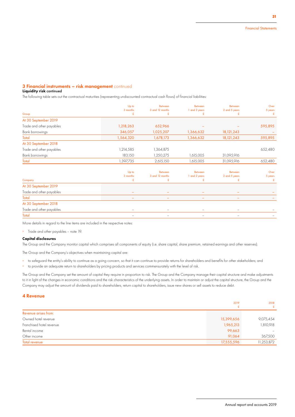# <span id="page-32-0"></span>3 Financial instruments - risk management continued

# Liquidity risk continued

The following table sets out the contractual maturities (representing undiscounted contractual cash flows) of financial liabilities:

|                          | Up to<br>3 months            | <b>Between</b><br>3 and 12 months      | <b>Between</b><br>1 and 2 years      | <b>Between</b><br>2 and 5 years      | Over<br>5 years      |
|--------------------------|------------------------------|----------------------------------------|--------------------------------------|--------------------------------------|----------------------|
| Group                    | £                            | £                                      | £                                    | £                                    | £                    |
| At 30 September 2019     |                              |                                        |                                      |                                      |                      |
| Trade and other payables | 1,218,263                    | 652,966                                |                                      |                                      | 595,895              |
| Bank borrowings          | 346,057                      | 1,025,207                              | 1,366,632                            | 18, 121, 243                         |                      |
| Total                    | 1,564,320                    | 1,678,173                              | 1,366,632                            | 18, 121, 243                         | 595,895              |
| At 30 September 2018     |                              |                                        |                                      |                                      |                      |
| Trade and other payables | 1,214,585                    | 1,364,875                              |                                      |                                      | 652,480              |
| Bank borrowings          | 183,150                      | 1,250,275                              | 1,615,005                            | 31,095,916                           |                      |
| Total                    | 1,397,735                    | 2,615,150                              | 1,615,005                            | 31,095,916                           | 652,480              |
| Company                  | Up to<br>3 months<br>£       | <b>Between</b><br>3 and 12 months<br>£ | <b>Between</b><br>1 and 2 years<br>£ | <b>Between</b><br>2 and 5 years<br>£ | Over<br>5 years<br>£ |
| At 30 September 2019     |                              |                                        |                                      |                                      |                      |
| Trade and other payables | $\qquad \qquad \blacksquare$ | ۰                                      | ۰                                    |                                      |                      |
| Total                    | $\qquad \qquad -$            | $\overline{\phantom{0}}$               | $\overline{\phantom{0}}$             | $\overline{\phantom{0}}$             |                      |
| At 30 September 2018     |                              |                                        |                                      |                                      |                      |
| Trade and other payables | $\qquad \qquad =$            | $\overline{\phantom{a}}$               | $\qquad \qquad =$                    | $\equiv$                             |                      |
| <b>Total</b>             |                              |                                        |                                      |                                      |                      |

More details in regard to the line items are included in the respective notes:

» Trade and other payables – [note 19](#page-40-0).

#### Capital disclosures

The Group and the Company monitor capital which comprises all components of equity (i.e. share capital, share premium, retained earnings and other reserves).

The Group and the Company's objectives when maintaining capital are:

- » to safeguard the entity's ability to continue as a going concern, so that it can continue to provide returns for shareholders and benefits for other stakeholders; and
- » to provide an adequate return to shareholders by pricing products and services commensurately with the level of risk.

The Group and the Company set the amount of capital they require in proportion to risk. The Group and the Company manage their capital structure and make adjustments to it in light of the changes in economic conditions and the risk characteristics of the underlying assets. In order to maintain or adjust the capital structure, the Group and the Company may adjust the amount of dividends paid to shareholders, return capital to shareholders, issue new shares or sell assets to reduce debt.

# 4 Revenue

|                          | 2019<br>£  | 2018<br>£  |
|--------------------------|------------|------------|
| Revenue arises from:     |            |            |
| Owned hotel revenue      | 15,399,656 | 9,075,454  |
| Franchised hotel revenue | 1,965,213  | 1,810,918  |
| Rental income            | 99,663     |            |
| Other income             | 91,064     | 367,500    |
| <b>Total revenue</b>     | 17,555,596 | 11,253,872 |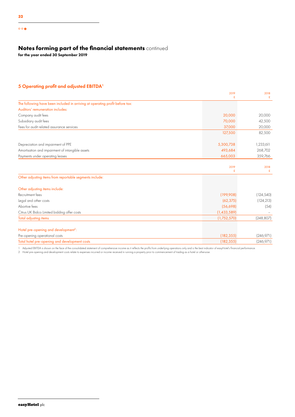# <span id="page-33-0"></span>**Notes forming part of the financial statements** continued

for the year ended 30 September 2019

# 5 Operating profit and adjusted EBITDA1

|                                                                              | 2019          | 2018       |
|------------------------------------------------------------------------------|---------------|------------|
|                                                                              | £             | £          |
| The following have been included in arriving at operating profit before tax: |               |            |
| Auditors' remuneration includes:                                             |               |            |
| Company audit fees                                                           | 20,000        | 20,000     |
| Subsidiary audit fees                                                        | 70,000        | 42,500     |
| Fees for audit related assurance services                                    | 37,000        | 20,000     |
|                                                                              | 127,500       | 82,500     |
| Depreciation and impairment of PPE                                           | 5,300,738     | 1,233,611  |
| Amortisation and impairment of intangible assets                             | 493,684       | 268,702    |
| Payments under operating leases                                              | 665,003       | 359,766    |
|                                                                              | 2019<br>£     | 2018<br>£  |
| Other adjusting items from reportable segments include:                      |               |            |
| Other adjusting items include:                                               |               |            |
| Recruitment fees                                                             | (199,908)     | (124, 540) |
| Legal and other costs                                                        | (62, 375)     | (124, 213) |
| Abortive fees                                                                | (56,698)      | (54)       |
| Citrus UK Bidco Limited bidding offer costs                                  | (1, 433, 589) |            |
| <b>Total adjusting items</b>                                                 | (1,752,570)   | (248, 807) |
| Hotel pre-opening and development <sup>2</sup> :                             |               |            |
| Pre-opening operational costs                                                | (182, 355)    | (246,971)  |
| Total hotel pre-opening and development costs                                | (182, 355)    | (246, 971) |

1 Adjusted EBITDA is shown on the face of the consolidated statement of comprehensive income as it reflects the profits from underlying operations only and is the best indicator of easyHotel's financial performance.<br>2 Hote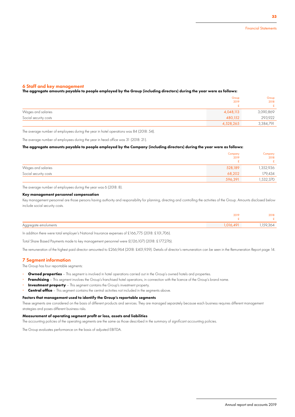# 6 Staff and key management

The aggregate amounts payable to people employed by the Group (including directors) during the year were as follows:

|                       | Group     | Group     |
|-----------------------|-----------|-----------|
|                       | 2019      | 2018      |
|                       |           |           |
| Wages and salaries    | 4,048,113 | 3,090,869 |
| Social security costs | 480.152   | 293,922   |
|                       | 4,528,265 | 3,384,791 |

The average number of employees during the year in hotel operations was 84 (2018: 54).

The average number of employees during the year in head office was 31 (2018: 21).

#### The aggregate amounts payable to people employed by the Company (including directors) during the year were as follows:

|                       | Company | Company<br>2018 |
|-----------------------|---------|-----------------|
|                       | 2019    |                 |
|                       |         | $\mathbf{E}$    |
| Wages and salaries    | 528,189 | 1,352,936       |
| Social security costs | 68.202  | 179,434         |
|                       | 596.391 | 1,532,370       |

The average number of employees during the year was 6 (2018: 8).

#### Key management personnel compensation

Key management personnel are those persons having authority and responsibility for planning, directing and controlling the activities of the Group. Amounts disclosed below include social security costs.

|                      | 2019           | 2018           |
|----------------------|----------------|----------------|
|                      |                |                |
| Aggregate emoluments | <b>016 491</b> | 159.364<br>vv: |

In addition there were total employer's National Insurance expenses of £166,775 (2018: £101,706).

Total Share Based Payments made to key management personnel were £(126,107) (2018: £177,276).

The remuneration of the highest paid director amounted to £266,964 (2018: £401,939). Details of director's remuneration can be seen in the Remuneration Report [page 14](#page-15-0).

#### 7 Segment information

The Group has four reportable segments:

- » **Owned properties** This segment is involved in hotel operations carried out in the Group's owned hotels and properties.
- » **Franchising** This segment involves the Group's franchised hotel operations, in connection with the licence of the Group's brand name.
- **Investment property** This segment contains the Group's investment property.
- **Central office** This segment contains the central activities not included in the segments above.

## Factors that management used to identify the Group's reportable segments

These segments are considered on the basis of different products and services. They are managed separately because each business requires different management strategies and poses different business risks.

#### Measurement of operating segment profit or loss, assets and liabilities

The accounting policies of the operating segments are the same as those described in the summary of significant accounting policies.

The Group evaluates performance on the basis of adjusted EBITDA.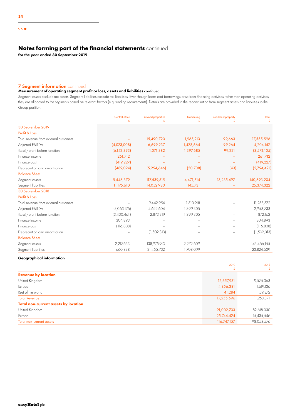# **Notes forming part of the financial statements** continued

for the year ended 30 September 2019

# **7 Segment information** continued

#### Measurement of operating segment profit or loss, assets and liabilities continued

Segment assets exclude tax assets. Segment liabilities exclude tax liabilities. Even though loans and borrowings arise from financing activities rather than operating activities, they are allocated to the segments based on relevant factors (e.g. funding requirements). Details are provided in the reconciliation from segment assets and liabilities to the Group position.

|                                       | Central office<br>£ | Owned properties<br>£ | Franchising<br>£ | Investment property<br>£ | Total<br>£  |
|---------------------------------------|---------------------|-----------------------|------------------|--------------------------|-------------|
| 30 September 2019                     |                     |                       |                  |                          |             |
| Profit & Loss                         |                     |                       |                  |                          |             |
| Total revenue from external customers |                     | 15,490,720            | 1,965,213        | 99,663                   | 17,555,596  |
| Adjusted EBITDA                       | (4,073,008)         | 6,699,237             | 1,478,664        | 99,264                   | 4,204,157   |
| (Loss)/profit before taxation         | (6, 142, 393)       | 1,071,382             | 1,397,685        | 99,221                   | (3,574,105) |
| Finance income                        | 261,712             |                       |                  |                          | 261,712     |
| Finance cost                          | (419, 227)          |                       |                  |                          | (419, 227)  |
| Depreciation and amortisation         | (489, 024)          | (5, 254, 646)         | (50, 708)        | (43)                     | (5,794,421) |
| <b>Balance Sheet</b>                  |                     |                       |                  |                          |             |
| Segment assets                        | 5,446,379           | 117,539,515           | 4,471,814        | 13,235,497               | 140,693,204 |
| Segment liabilities                   | 11,175,610          | 14,052,980            | 145,731          |                          | 25,374,322  |
| 30 September 2018                     |                     |                       |                  |                          |             |
| Profit & Loss                         |                     |                       |                  |                          |             |
| Total revenue from external customers |                     | 9,442,954             | 1,810,918        |                          | 11,253,872  |
| Adjusted EBITDA                       | (3,063,176)         | 4,622,604             | 1,399,305        |                          | 2,958,733   |
| (Loss)/profit before taxation         | (3,400,461)         | 2,873,319             | 1,399,305        |                          | 872,162     |
| Finance income                        | 304,893             |                       |                  |                          | 304,893     |
| Finance cost                          | (116,808)           |                       |                  |                          | (116,808)   |
| Depreciation and amortisation         |                     | (1,502,313)           | $\equiv$         | $\equiv$                 | (1,502,313) |
| <b>Balance Sheet</b>                  |                     |                       |                  |                          |             |
| Segment assets                        | 2,217,633           | 138,975,913           | 2,272,609        |                          | 143,466,155 |
| Segment liabilities                   | 660,838             | 21,455,702            | 1,708,099        | $\qquad \qquad =$        | 23,824,639  |
| <b>Geographical information</b>       |                     |                       |                  |                          |             |

|                                             | 2019<br>£   | 2018<br>£  |
|---------------------------------------------|-------------|------------|
| <b>Revenue by location</b>                  |             |            |
| United Kingdom                              | 12,657,931  | 9,575,363  |
| Europe                                      | 4,856,381   | 1,619,136  |
| Rest of the world                           | 41,284      | 59,372     |
| <b>Total Revenue</b>                        | 17,555,596  | 11,253,871 |
| <b>Total non-current assets by location</b> |             |            |
| United Kingdom                              | 91,002,733  | 82,618,030 |
| Europe                                      | 25,744,424  | 15,435,546 |
| Total non-current assets                    | 116,747,157 | 98,053,576 |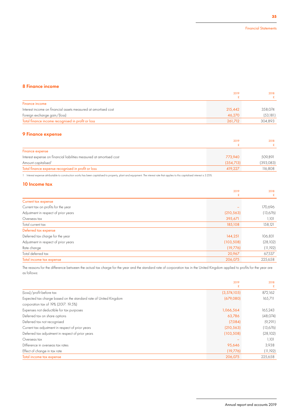Annual report and accounts 2019

# <span id="page-36-0"></span>8 Finance income

|                                                                | 2019    | 2018<br>$\mathbf{f}$ |
|----------------------------------------------------------------|---------|----------------------|
| Finance income                                                 |         |                      |
| Interest income on financial assets measured at amortised cost | 215,442 | 358,074              |
| Foreign exchange gain/(loss)                                   | 46.270  | (53, 181)            |
| Total finance income recognised in profit or loss              | 261.712 | 304,893              |

# 9 Finance expense

|                                                                      | 2019      | 2018<br>£ |
|----------------------------------------------------------------------|-----------|-----------|
| Finance expense                                                      |           |           |
| Interest expense on financial liabilities measured at amortised cost | 773,940   | 509,891   |
| Amount capitalised <sup>1</sup>                                      | (354,713) | (393,083) |
| Total finance expense recognised in profit or loss                   | 419.227   | 116,808   |

1 Interest expense attributable to construction works has been capitalised to property, plant and equipment. The interest rate that applies to this capitalised interest is 3.25%.

# 10 Income tax

|                                      | 2019       | 2018     |
|--------------------------------------|------------|----------|
|                                      | £          | £        |
| Current tax expense                  |            |          |
| Current tax on profits for the year  |            | 170,696  |
| Adjustment in respect of prior years | (210, 563) | (13,676) |
| Overseas tax                         | 395,671    | 1,101    |
| Total current tax                    | 185,108    | 158,121  |
| Deferred tax expense                 |            |          |
| Deferred tax charge for the year     | 144,251    | 106,831  |
| Adjustment in respect of prior years | (103, 508) | (28,102) |
| Rate change                          | (19,776)   | (11,192) |
| Total deferred tax                   | 20,967     | 67,537   |
| Total income tax expense             | 206,075    | 225,658  |

The reasons for the difference between the actual tax charge for the year and the standard rate of corporation tax in the United Kingdom applied to profits for the year are as follows:

|                                                                  | 2019<br>£   | 2018<br>£ |
|------------------------------------------------------------------|-------------|-----------|
| (Loss)/profit before tax                                         | (3,574,105) | 872,162   |
| Expected tax charge based on the standard rate of United Kingdom | (679,080)   | 165,711   |
| corporation tax of 19% (2017: 19.5%)                             |             |           |
| Expenses not deductible for tax purposes                         | 1,066,564   | 165,243   |
| Deferred tax on share options                                    | 63,786      | (48,074)  |
| Deferred tax not recognised                                      | (7,084)     | (9,291)   |
| Current tax adjustment in respect of prior years                 | (210, 563)  | (13,676)  |
| Deferred tax adjustment in respect of prior years                | (103, 508)  | (28,102)  |
| Overseas tax                                                     |             | 1,101     |
| Difference in overseas tax rates                                 | 95,646      | 3,938     |
| Effect of change in tax rate                                     | (19, 776)   | (11,192)  |
| Total income tax expense                                         | 206,075     | 225,658   |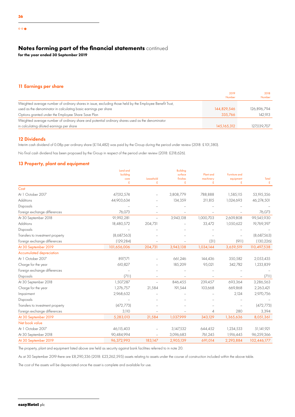# <span id="page-37-0"></span>**Notes forming part of the financial statements** continued

for the year ended 30 September 2019

# 11 Earnings per share

|                                                                                                          | 2019<br>Number | 2018<br>Number |
|----------------------------------------------------------------------------------------------------------|----------------|----------------|
| Weighted average number of ordinary shares in issue, excluding those held by the Employee Benefit Trust, |                |                |
| used as the denominator in calculating basic earnings per share                                          | 144,829,546    | 126,896,794    |
| Options granted under the Employee Share Save Plan                                                       | 335.766        | 142,913        |
| Weighted average number of ordinary share and potential ordinary shares used as the denominator          |                |                |
| in calculating diluted earnings per share                                                                | 145.165.312    | 127.039.707    |

# 12 Dividends

Interim cash dividend of 0.08p per ordinary share (£114,482) was paid by the Group during the period under review (2018: £101,380).

No final cash dividend has been proposed by the Group in respect of the period under review (2018: £218,626).

# 13 Property, plant and equipment

|                                  | Land and<br>building<br>core<br>£ | Leasehold<br>£ | <b>Building</b><br>surface<br>finishes<br>£ | Plant and<br>machinery<br>£ | Furniture and<br>equipment<br>£ | Total<br>£  |
|----------------------------------|-----------------------------------|----------------|---------------------------------------------|-----------------------------|---------------------------------|-------------|
| Cost                             |                                   |                |                                             |                             |                                 |             |
| At 1 October 2017                | 47,012,574                        |                | 3,808,779                                   | 788,888                     | 1,585,115                       | 53,195,356  |
| <b>Additions</b>                 | 44,903,634                        |                | 134,359                                     | 211,815                     | 1,024,693                       | 46,274,501  |
| Disposals                        |                                   |                |                                             |                             |                                 |             |
| Foreign exchange differences     | 76,073                            |                |                                             |                             |                                 | 76,073      |
| At 30 September 2018             | 91,992,281                        |                | 3,943,138                                   | 1,000,703                   | 2,609,808                       | 99,545,930  |
| <b>Additions</b>                 | 18,480,572                        | 204,731        |                                             | 33,472                      | 1,050,622                       | 19,769,397  |
| Disposals                        |                                   |                |                                             |                             |                                 |             |
| Transfers to investment property | (8,687,563)                       |                |                                             |                             |                                 | (8,687,563) |
| Foreign exchange differences     | (129, 284)                        |                |                                             | (31)                        | (911)                           | (130, 226)  |
| At 30 September 2019             | 101,656,006                       | 204,731        | 3,943,138                                   | 1,034,144                   | 3,659,519                       | 110,497,538 |
| <b>Accumulated depreciation</b>  |                                   |                |                                             |                             |                                 |             |
| At 1 October 2017                | 897,171                           |                | 661,246                                     | 144,436                     | 350,582                         | 2,053,435   |
| Charge for the year              | 610,827                           |                | 185,209                                     | 95,021                      | 342,782                         | 1,233,839   |
| Foreign exchange differences     |                                   |                |                                             |                             |                                 |             |
| Disposals                        | (711)                             |                |                                             |                             |                                 | (711)       |
| At 30 September 2018             | 1,507,287                         |                | 846,455                                     | 239,457                     | 693,364                         | 3,286,563   |
| Charge for the year              | 1,276,757                         | 21,584         | 191,544                                     | 103,668                     | 669,868                         | 2,263,421   |
| Impairment                       | 2,968,632                         |                |                                             |                             | 2,124                           | 2,970,756   |
| Disposals                        |                                   |                |                                             |                             |                                 |             |
| Transfers to investment property | (472,773)                         |                |                                             |                             |                                 | (472, 773)  |
| Foreign exchange differences     | 3,110                             |                |                                             | 4                           | 280                             | 3,394       |
| At 30 September 2019             | 5,283,013                         | 21,584         | 1,037,999                                   | 343,129                     | 1,365,636                       | 8,051,361   |
| Net book value                   |                                   |                |                                             |                             |                                 |             |
| At 1 October 2017                | 46,115,403                        |                | 3,147,532                                   | 644,452                     | 1,234,533                       | 51,141,921  |
| At 30 September 2018             | 90,484,994                        |                | 3,096,683                                   | 761,245                     | 1,916,445                       | 96,259,366  |
| At 30 September 2019             | 96,372,993                        | 183,147        | 2,905,139                                   | 691,014                     | 2,293,884                       | 102,446,177 |

The property, plant and equipment listed above are held as security against bank facilities referred to in [note 20](#page-40-0).

As at 30 September 2019 there are £8,290,336 (2018: £23,262,595) assets relating to assets under the course of construction included within the above table.

The cost of the assets will be depreciated once the asset is complete and available for use.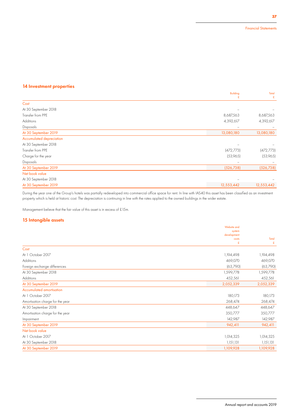# <span id="page-38-0"></span>14 Investment properties

|                          | <b>Building</b>   | Total      |
|--------------------------|-------------------|------------|
|                          |                   | £          |
| Cost                     |                   |            |
| At 30 September 2018     |                   |            |
| Transfer from PPE        | 8,687,563         | 8,687,563  |
| <b>Additions</b>         | 4,392,617         | 4,392,617  |
| Disposals                | $\qquad \qquad =$ |            |
| At 30 September 2019     | 13,080,180        | 13,080,180 |
| Accumulated depreciation |                   |            |
| At 30 September 2018     |                   |            |
| Transfer from PPE        | (472, 773)        | (472, 773) |
| Charge for the year      | (53,965)          | (53,965)   |
| <b>Disposals</b>         | $\qquad \qquad =$ |            |
| At 30 September 2019     | (526, 738)        | (526, 738) |
| Net book value           |                   |            |
| At 30 September 2018     |                   |            |
| At 30 September 2019     | 12,553,442        | 12,553,442 |

During the year one of the Group's hotels was partially redeveloped into commercial office space for rent. In line with IAS40 this asset has been classified as an investment property which is held at historic cost. The depreciation is continuing in line with the rates applied to the owned buildings in the wider estate.

Management believe that the fair value of this asset is in excess of £15m.

# 15 Intangible assets

|                                  | Website and           |           |
|----------------------------------|-----------------------|-----------|
|                                  | system<br>development |           |
|                                  | costs                 | Total     |
|                                  | £                     | £         |
| Cost                             |                       |           |
| At 1 October 2017                | 1,194,498             | 1,194,498 |
| <b>Additions</b>                 | 469,070               | 469,070   |
| Foreign exchange differences     | (63,790)              | (63,790)  |
| At 30 September 2018             | 1,599,778             | 1,599,778 |
| Additions                        | 452,561               | 452,561   |
| At 30 September 2019             | 2,052,339             | 2,052,339 |
| <b>Accumulated amortisation</b>  |                       |           |
| At 1 October 2017                | 180,173               | 180,173   |
| Amortisation charge for the year | 268,474               | 268,474   |
| At 30 September 2018             | 448,647               | 448,647   |
| Amortisation charge for the year | 350,777               | 350,777   |
| Impairment                       | 142,987               | 142,987   |
| At 30 September 2019             | 942,411               | 942,411   |
| Net book value                   |                       |           |
| At 1 October 2017                | 1,014,325             | 1,014,325 |
| At 30 September 2018             | 1,151,131             | 1,151,131 |
| At 30 September 2019             | 1,109,928             | 1,109,928 |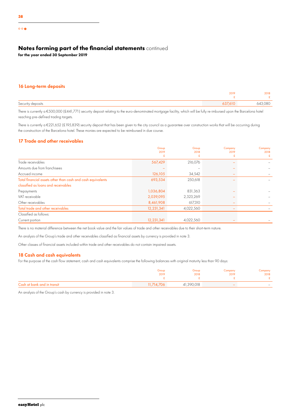# <span id="page-39-0"></span>**Notes forming part of the financial statements** continued

for the year ended 30 September 2019

# 16 Long-term deposits

|                   | 2019 | 2018    |
|-------------------|------|---------|
| Security deposits | A1C  | 643,080 |

There is currently a €500,000 (£441,771) security deposit relating to the euro-denominated mortgage facility, which will be fully re-imbursed upon the Barcelona hotel reaching pre-defined trading targets.

There is currently a €221,652 (£195,839) security deposit that has been given to the city council as a guarantee over construction works that will be occurring during the construction of the Barcelona hotel. These monies are expected to be reimbursed in due course.

# 17 Trade and other receivables

|                                                             | Group      | Group     | Company | Company |
|-------------------------------------------------------------|------------|-----------|---------|---------|
|                                                             | 2019       | 2018      | 2019    | 2018    |
|                                                             | £          | £         | £       | £       |
| Trade receivables                                           | 567,429    | 216,076   |         |         |
| Amounts due from franchisees                                |            |           |         |         |
| Accrued income                                              | 126,105    | 34,542    |         |         |
| Total financial assets other than cash and cash equivalents | 693,534    | 250,618   |         |         |
| classified as loans and receivables                         |            |           |         |         |
| Prepayments                                                 | 1,036,804  | 831,363   |         |         |
| VAT receivable                                              | 2,039,095  | 2,323,269 |         |         |
| Other receivables                                           | 8,461,908  | 617,310   |         |         |
| Total trade and other receivables                           | 12,231,341 | 4,022,560 |         |         |
| Classified as follows:                                      |            |           |         |         |
| Current portion                                             | 12,231,341 | 4,022,560 |         |         |

There is no material difference between the net book value and the fair values of trade and other receivables due to their short-term nature.

An analysis of the Group's trade and other receivables classified as financial assets by currency is provided in [note 3](#page-29-0).

Other classes of financial assets included within trade and other receivables do not contain impaired assets.

# 18 Cash and cash equivalents

For the purpose of the cash flow statement, cash and cash equivalents comprise the following balances with original maturity less than 90 days:

|                             | Group      | Group      | Company                  | Company                  |
|-----------------------------|------------|------------|--------------------------|--------------------------|
|                             | 2019       | 2018       | 2019                     | 2018                     |
| Cash at bank and in transit | 11,714,706 | 41,390,018 | $\overline{\phantom{a}}$ | $\overline{\phantom{0}}$ |

An analysis of the Group's cash by currency is provided in [note 3](#page-29-0).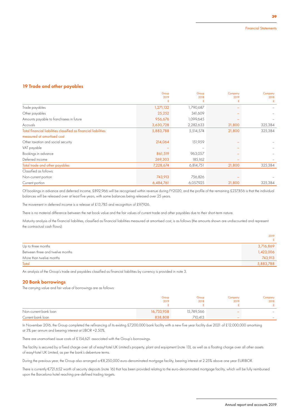# <span id="page-40-0"></span>19 Trade and other payables

|                                                                 | Group     | Group     | Company | Company |
|-----------------------------------------------------------------|-----------|-----------|---------|---------|
|                                                                 | 2019      | 2018      | 2019    | 2018    |
|                                                                 | £         | £         | £       | £       |
| Trade payables                                                  | 1,271,132 | 1,790,687 |         |         |
| Other payables                                                  | 25,252    | 341,609   |         |         |
| Amounts payable to franchisees in future                        | 956,676   | 1,099,645 |         |         |
| Accruals                                                        | 3,630,728 | 2,282,633 | 21,800  | 325,384 |
| Total financial liabilities classified as financial liabilities | 5,883,788 | 5,514,574 | 21,800  | 325,384 |
| measured at amortised cost                                      |           |           |         |         |
| Other taxation and social security                              | 214,064   | 151,959   |         |         |
| VAT payable                                                     |           |           |         |         |
| Bookings in advance                                             | 861,519   | 963,057   |         |         |
| Deferred income                                                 | 269,303   | 185,162   |         |         |
| Total trade and other payables                                  | 7,228,674 | 6,814,751 | 21,800  | 325,384 |
| Classified as follows:                                          |           |           |         |         |
| Non-current portion                                             | 743,913   | 756,826   |         |         |
| Current portion                                                 | 6,484,761 | 6,057,925 | 21,800  | 325,384 |

Of bookings in advance and deferred income, £892,966 will be recognised within revenue during FY2020, and the profile of the remaining £237,856 is that the individual balances will be released over at least five years, with some balances being released over 25 years.

The movement in deferred income is a release of £13,785 and recognition of £97,926.

There is no material difference between the net book value and the fair values of current trade and other payables due to their short-term nature.

Maturity analysis of the financial liabilities, classified as financial liabilities measured at amortised cost, is as follows (the amounts shown are undiscounted and represent the contractual cash flows):

|                                 | 2019<br>£ |
|---------------------------------|-----------|
| Up to three months              | 3,716,869 |
| Between three and twelve months | 1,423,006 |
| More than twelve months         | 743,913   |
| Total                           | 5,883,788 |

An analysis of the Group's trade and payables classified as financial liabilities by currency is provided in [note 3](#page-29-0).

## 20 Bank borrowings

The carrying value and fair value of borrowings are as follows:

|                       | Group<br>2019 | Group<br>2018 | Company<br>2019          | Company<br>2018              |
|-----------------------|---------------|---------------|--------------------------|------------------------------|
| Non-current bank loan | 16,733,958    | 15,749,566    | $\overline{\phantom{0}}$ | $-$                          |
| Current bank loan     | 838,808       | 710.413       | $\overline{\phantom{a}}$ | $\qquad \qquad \blacksquare$ |

In November 2016, the Group completed the refinancing of its existing £7,200,000 bank facility with a new five year facility due 2021 of £12,000,000 amortising at 3% per annum and bearing interest at LIBOR +2.50%.

There are unamortised issue costs of £154,621 associated with the Group's borrowings.

The facility is secured by a fixed charge over all of easyHotel UK Limited's property, plant and equipment [\(note 13\)](#page-37-0), as well as a floating charge over all other assets of easyHotel UK Limited, as per the bank's debenture terms.

During the previous year, the Group also arranged a €8,250,000 euro-denominated mortgage facility, bearing interest at 2.25% above one year EURIBOR.

There is currently €721,652 worth of security deposits ([note 16\)](#page-39-0) that has been provided relating to the euro-denominated mortgage facility, which will be fully reimbursed upon the Barcelona hotel reaching pre-defined trading targets.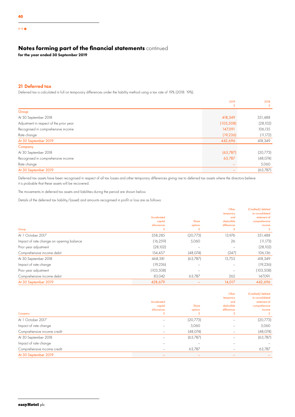# <span id="page-41-0"></span>**Notes forming part of the financial statements** continued

for the year ended 30 September 2019

# 21 Deferred tax

Deferred tax is calculated in full on temporary differences under the liability method using a tax rate of 19% (2018: 19%).

|                                         | 2019       | 2018      |
|-----------------------------------------|------------|-----------|
|                                         | £          | £         |
| Group                                   |            |           |
| At 30 September 2018                    | 418,349    | 351,488   |
| Adjustment in respect of the prior year | (103, 508) | (28, 102) |
| Recognised in comprehensive income      | 147,091    | 106,135   |
| Rate change                             | (19, 236)  | (11,172)  |
| At 30 September 2019                    | 442,696    | 418,349   |
| Company                                 |            |           |
| At 30 September 2018                    | (63,787)   | (20,773)  |
| Recognised in comprehensive income      | 63,787     | (48,074)  |
| Rate change                             |            | 5,060     |
| At 30 September 2019                    |            | (63,787)  |

Deferred tax assets have been recognised in respect of all tax losses and other temporary differences giving rise to deferred tax assets where the directors believe it is probable that these assets will be recovered.

The movements in deferred tax assets and liabilities during the period are shown below.

Details of the deferred tax liability/(asset) and amounts recognised in profit or loss are as follows:

| Group                                    | Accelerated<br>capital<br>allowances<br>£ | Share<br>options<br>£    | Other<br>temporary<br>and<br>deductible<br>differences<br>£ | (Credited)/debited<br>to consolidated<br>statement of<br>comprehensive<br>income |
|------------------------------------------|-------------------------------------------|--------------------------|-------------------------------------------------------------|----------------------------------------------------------------------------------|
| At 1 October 2017                        | 358,285                                   | (20,773)                 | 13,976                                                      | 351,488                                                                          |
| Impact of rate change on opening balance | (16, 259)                                 | 5,060                    | 26                                                          | (11,173)                                                                         |
| Prior year adjustment                    | (28,102)                                  | $\overline{\phantom{m}}$ |                                                             | (28,102)                                                                         |
| Comprehensive income debit               | 154,457                                   | (48,074)                 | (247)                                                       | 106,136                                                                          |
| At 30 September 2018                     | 468,381                                   | (63,787)                 | 13,755                                                      | 418,349                                                                          |
| Impact of rate change                    | (19, 236)                                 | $\overline{\phantom{0}}$ |                                                             | (19, 236)                                                                        |
| Prior year adjustment                    | (103, 508)                                |                          |                                                             | (103, 508)                                                                       |
| Comprehensive income debit               | 83,042                                    | 63,787                   | 262                                                         | 147,091                                                                          |
| At 30 September 2019                     | 428,679                                   |                          | 14,017                                                      | 442,696                                                                          |

|                             |             |          | Other       | (Credited)/debited |
|-----------------------------|-------------|----------|-------------|--------------------|
|                             |             |          | temporary   | to consolidated    |
|                             | Accelerated |          | and         | statement of       |
|                             | capital     | Share    | deductible  | comprehensive      |
|                             | allowances  | options  | differences | income             |
| Company                     | £           | £        | £           | £                  |
| At 1 October 2017           |             | (20,773) |             | (20,773)           |
| Impact of rate change       |             | 5,060    |             | 5,060              |
| Comprehensive income credit |             | (48,074) |             | (48,074)           |
| At 30 September 2018        |             | (63,787) |             | (63,787)           |
| Impact of rate change       |             |          |             |                    |
| Comprehensive income credit |             | 63,787   |             | 63,787             |
| At 30 September 2019        |             |          |             |                    |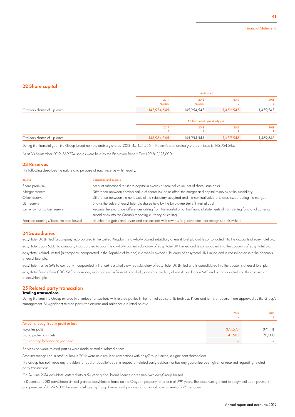# <span id="page-42-0"></span>22 Share capital

|                            | Authorised                         |                |           |                      |
|----------------------------|------------------------------------|----------------|-----------|----------------------|
|                            | 2019<br>Number                     | 2018<br>Number | 2019      | 2018<br>£            |
| Ordinary shares of 1p each | 145,954,545                        | 145,954,545    | 1,459,545 | 1,459,545            |
|                            | Allotted, called up and fully paid |                |           |                      |
|                            | 2019<br>£.                         | 2018<br>£.     | 2019<br>٩ | 2018<br>$\mathbf{f}$ |
| Ordinary shares of 1p each | 145,954,545                        | 145,954,545    | 1,459,545 | 1,459,545            |

Authorised

During the financial year, the Group issued no new ordinary shares (2018: 45,454,546 ). The number of ordinary shares in issue is 145,954,545.

As at 30 September 2019, 369,724 shares were held by the Employee Benefit Trust (2018: 1,125,000).

#### 23 Reserves

The following describes the nature and purpose of each reserve within equity:

| Reserve                                | <b>Description and purpose</b>                                                                                                |
|----------------------------------------|-------------------------------------------------------------------------------------------------------------------------------|
| Share premium                          | Amount subscribed for share capital in excess of nominal value, net of share issue costs.                                     |
| Merger reserve                         | Difference between nominal value of shares issued to effect the merger and capital reserves of the subsidiary.                |
| Other reserve                          | Difference between the net assets of the subsidiary acquired and the nominal value of shares issued during the merger.        |
| <b>EBT</b> reserve                     | Shows the value of easyHotel plc shares held by the Employee Benefit Trust at cost.                                           |
| Currency translation reserve           | Records the exchange differences arising from the translation of the financial statements of non-sterling functional currency |
|                                        | subsidiaries into the Group's reporting currency of sterling.                                                                 |
| Retained earnings/(accumulated losses) | All other net gains and losses and transactions with owners (e.g. dividends) not recognised elsewhere.                        |

#### 24 Subsidiaries

easyHotel UK Limited (a company incorporated in the United Kingdom) is a wholly owned subsidiary of easyHotel plc and is consolidated into the accounts of easyHotel plc. easyHotel Spain S.L.U. (a company incorporated in Spain) is a wholly owned subsidiary of easyHotel UK Limited and is consolidated into the accounts of easyHotel plc. easyHotel Ireland Limited (a company incorporated in the Republic of Ireland) is a wholly owned subsidiary of easyHotel UK Limited and is consolidated into the accounts of easyHotel plc.

easyHotel France SAS (a company incorporated in France) is a wholly owned subsidiary of easyHotel UK Limited and is consolidated into the accounts of easyHotel plc. easyHotel France Paris CDG SAS (a company incorporated in France) is a wholly owned subsidiary of easyHotel France SAS and is consolidated into the accounts of easyHotel plc.

# 25 Related party transaction

#### Trading transactions

During the year the Group entered into various transactions with related parties in the normal course of its business. Prices and terms of payment are approved by the Group's management. All significant related party transactions and balances are listed below:

|                                      | 2019    | 2018<br>$\mathbf{f}$ |
|--------------------------------------|---------|----------------------|
| Amounts recognised in profit or loss |         |                      |
| Royalties paid                       | 377.577 | 374,141              |
| Brand protection costs               | 41.505  | 20,000               |
| Outstanding balance at year end      |         |                      |

Services between related parties were made at market related prices.

Amounts recognised in profit or loss in 2019 were as a result of transactions with easyGroup Limited, a significant shareholder.

The Group has not made any provision for bad or doubtful debts in respect of related party debtors nor has any guarantee been given or received regarding related party transactions.

On 24 June 2014 easyHotel entered into a 50 year global brand licence agreement with easyGroup Limited.

In December 2013 easyGroup Limited granted easyHotel a lease on the Croydon property for a term of 999 years. The lease was granted to easyHotel upon payment of a premium of £1,626,000 by easyHotel to easyGroup Limited and provides for an initial nominal rent of £25 per annum.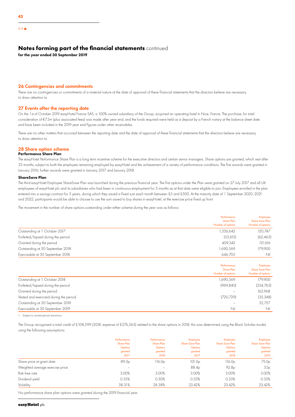# <span id="page-43-0"></span>**Notes forming part of the financial statements** continued

for the year ended 30 September 2019

#### 26 Contingencies and commitments

There are no contingencies or commitments of a material nature at the date of approval of these financial statements that the directors believe are necessary to draw attention to.

## 27 Events after the reporting date

On the 1st of October 2019 easyHotel France SAS, a 100% owned subsidiary of the Group, acquired an operating hotel in Nice, France. The purchase, for total consideration of €7.5m (plus associated fees) was made after year end, and the funds required were held as a deposit by a French notary at the balance sheet date and have been included in the 2019 year end figures under other receivables.

There are no other matters that occurred between the reporting date and the date of approval of these financial statements that the directors believe are necessary to draw attention to.

# 28 Share option scheme

## Performance Share Plan

The easyHotel Performance Share Plan is a long term incentive scheme for the executive directors and certain senior managers. Share options are granted, which vest after 32 months, subject to both the employee remaining employed by easyHotel and the achievement of a variety of performance conditions. The first awards were granted in January 2016; further awards were granted in January 2017 and January 2018.

#### ShareSave Plan

The third easyHotel Employee ShareSave Plan was launched during the previous financial year. The first options under the Plan were granted on 27 July 2017 and all UK employees of easyHotel plc and its subsidiaries who had been in continuous employment for 3 months as at that date were eligible to join. Employees enrolled in the plan entered into a savings contract for 3 years, during which they saved a fixed sum each month between £5 and £500. At the maturity date of 1 September 2020, 2021 and 2022, participants would be able to choose to use the sum saved to buy shares in easyHotel, at the exercise price fixed up front.

The movement in the number of share options outstanding under either scheme during the year was as follows:

|                                    | Performance<br>Share Plan<br>Number of options | Employee<br><b>Share Save Plan</b><br>Number of options |
|------------------------------------|------------------------------------------------|---------------------------------------------------------|
| Outstanding at 1 October 2017      | 1,336,642                                      | 120,747                                                 |
| Forfeited/lapsed during the period | (55,615)                                       | (62, 463)                                               |
| Granted during the period          | 409.542                                        | 121,616                                                 |
| Outstanding at 30 September 2018   | 1.690.569                                      | 179.900                                                 |
| Exercisable at 30 September 2018   | 646,705                                        | Nil                                                     |

|                                        | Performance<br><b>Share Plan</b><br>Number of options | Employee<br><b>Share Save Plan</b><br>Number of options |
|----------------------------------------|-------------------------------------------------------|---------------------------------------------------------|
| Outstanding at 1 October 2018          | 1,690,569                                             | 179,900                                                 |
| Forfeited/lapsed during the period     | (969, 840)                                            | (254,763)                                               |
| Granted during the period              |                                                       | 162,968                                                 |
| Vested and exercised during the period | (720, 729)                                            | (35, 348)                                               |
| Outstanding at 30 September 2019       |                                                       | 52,757                                                  |
| Exercisable at 30 September 2019       | Nil                                                   | Nil                                                     |

1 Subject to closed period restrictions

The Group recognised a total credit of £108,599 (2018: expense of £276,565) related to the share options in 2018; this was determined using the Black Scholes model, using the following assumptions:

|                                 | Performance<br><b>Share Plan</b><br>Options<br>granted | Performance<br><b>Share Plan</b><br>Options<br>granted | Employee<br><b>Share Save Plan</b><br><b>Options</b><br>granted | Employee<br><b>Share Save Plan</b><br><b>Options</b><br>granted | Employee<br><b>Share Save Plan</b><br>Options<br>granted |
|---------------------------------|--------------------------------------------------------|--------------------------------------------------------|-----------------------------------------------------------------|-----------------------------------------------------------------|----------------------------------------------------------|
|                                 | 2017                                                   | 2018                                                   | 2017                                                            | 2018                                                            | 2019                                                     |
| Share price at grant date       | 89.3 <sub>p</sub>                                      | 116.0 <sub>D</sub>                                     | 101.0 <sub>p</sub>                                              | 116.0 <sub>p</sub>                                              | 75.0 <sub>p</sub>                                        |
| Weighted average exercise price | -                                                      |                                                        | 88.4p                                                           | 92.8p                                                           | 55p                                                      |
| Risk-free rate                  | 3.00%                                                  | 3.00%                                                  | 3.00%                                                           | 3.00%                                                           | 3.00%                                                    |
| Dividend yield                  | 0.35%                                                  | 0.30%                                                  | 0.33%                                                           | 0.33%                                                           | 0.33%                                                    |
| Volatility                      | 38.31%                                                 | 28.38%                                                 | 23.42%                                                          | 23.42%                                                          | 23.42%                                                   |

No performance share plan options were granted during the 2019 financial year.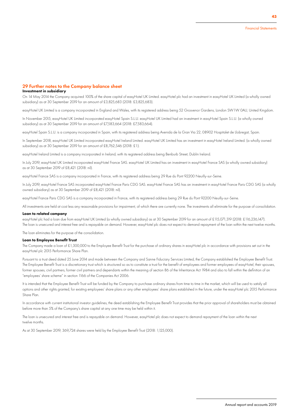# <span id="page-44-0"></span>29 Further notes to the Company balance sheet

#### Investment in subsidiary

On 14 May 2014 the Company acquired 100% of the share capital of easyHotel UK Limited. easyHotel plc had an investment in easyHotel UK Limited (a wholly owned subsidiary) as at 30 September 2019 for an amount of £3,825,683 (2018: £3,825,683).

easyHotel UK Limited is a company incorporated in England and Wales, with its registered address being 52 Grosvenor Gardens, London SW1W 0AU, United Kingdom.

In November 2015, easyHotel UK Limited incorporated easyHotel Spain S.L.U. easyHotel UK Limited had an investment in easyHotel Spain S.L.U. (a wholly owned subsidiary) as at 30 September 2019 for an amount of £7,583,664 (2018: £7,583,664).

easyHotel Spain S.L.U. is a company incorporated in Spain, with its registered address being Avenida de la Gran Via 22, 08902 Hospitalet de Llobregat, Spain.

In September 2018, easyHotel UK Limited incorporated easyHotel Ireland Limited. easyHotel UK Limited has an investment in easyHotel Ireland Limited. (a wholly owned subsidiary) as at 30 September 2019 for an amount of £8,762,546 (2018: £1).

easyHotel Ireland Limited is a company incorporated in Ireland, with its registered address being Benburb Street, Dublin Ireland.

In July 2019, easyHotel UK Limited incorporated easyHotel France SAS. easyHotel UK Limited has an investment in easyHotel France SAS (a wholly owned subsidiary) as at 30 September 2019 of £8,421 (2018: nil).

easyHotel France SAS is a company incorporated in France, with its registered address being 29 Rue du Pont 92200 Neuilly-sur-Seine.

In July 2019, easyHotel France SAS incorporated easyHotel France Paris CDG SAS. easyHotel France SAS has an investment in easyHotel France Paris CDG SAS (a wholly owned subsidiary) as at 30 September 2019 of £8,421 (2018: nil).

easyHotel France Paris CDG SAS is a company incorporated in France, with its registered address being 29 Rue du Pont 92200 Neuilly-sur-Seine.

All investments are held at cost less any reasonable provisions for impairment, of which there are currently none. The investments all eliminate for the purpose of consolidation.

#### Loan to related company

easyHotel plc had a loan due from easyHotel UK Limited (a wholly owned subsidiary) as at 30 September 2019 for an amount of £115,071,319 (2018: £116,236,147). The loan is unsecured and interest free and is repayable on demand. However, easyHotel plc does not expect to demand repayment of the loan within the next twelve months.

The loan eliminates for the purpose of the consolidation.

#### Loan to Employee Benefit Trust

The Company made a loan of £1,300,000 to the Employee Benefit Trust for the purchase of ordinary shares in easyHotel plc in accordance with provisions set out in the easyHotel plc 2015 Performance Share Plan.

Pursuant to a trust deed dated 25 June 2014 and made between the Company and Sanne Fiduciary Services Limited, the Company established the Employee Benefit Trust. The Employee Benefit Trust is a discretionary trust which is structured so as to constitute a trust for the benefit of employees and former employees of easyHotel, their spouses, former spouses, civil partners, former civil partners and dependants within the meaning of section 86 of the Inheritance Act 1984 and also to fall within the definition of an "employees' share scheme" in section 1166 of the Companies Act 2006.

It is intended that the Employee Benefit Trust will be funded by the Company to purchase ordinary shares from time to time in the market, which will be used to satisfy all options and other rights granted, for existing employees' share plans or any other employees' share plans established in the future, under the easyHotel plc 2015 Performance Share Plan.

In accordance with current institutional investor guidelines, the deed establishing the Employee Benefit Trust provides that the prior approval of shareholders must be obtained before more than 5% of the Company's share capital at any one time may be held within it.

The loan is unsecured and interest free and is repayable on demand. However, easyHotel plc does not expect to demand repayment of the loan within the next twelve months.

As at 30 September 2019, 369,724 shares were held by the Employee Benefit Trust (2018: 1,125,000).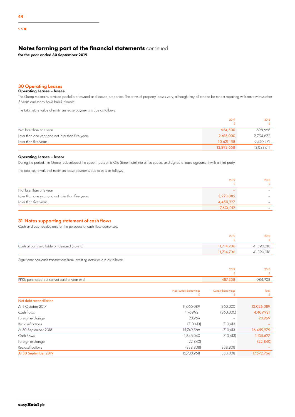# **Notes forming part of the financial statements** continued

for the year ended 30 September 2019

## 30 Operating Leases

#### Operating Leases – lessee

The Group maintains a mixed portfolio of owned and leased properties. The terms of property leases vary, although they all tend to be tenant repairing with rent reviews after 5 years and many have break clauses.

The total future value of minimum lease payments is due as follows:

|                                                   | 2019       | 2018         |
|---------------------------------------------------|------------|--------------|
|                                                   |            | $\mathbf{f}$ |
| Not later than one year                           | 654,500    | 698,668      |
| Later than one year and not later than five years | 2,618,000  | 2,794,672    |
| Later than five years                             | 10,621,158 | 9,540,271    |
|                                                   | 13,893,658 | 13,033,611   |

## Operating Leases – lessor

During the period, the Group redeveloped the upper floors of its Old Street hotel into office space, and signed a lease agreement with a third party.

The total future value of minimum lease payments due to us is as follows:

|                                                   | 2019      | 2018<br>$\mathbf{f}$     |
|---------------------------------------------------|-----------|--------------------------|
| Not later than one year                           |           |                          |
| Later than one year and not later than five years | 3,223,085 | $\overline{\phantom{0}}$ |
| Later than five years                             | 4,450,927 |                          |
|                                                   | 7,674,012 | -                        |

# 31 Notes supporting statement of cash flows

Cash and cash equivalents for the purposes of cash flow comprises:

|                                           | 2019       | 2018       |
|-------------------------------------------|------------|------------|
| Cash at bank available on demand (note 3) | 11,714,706 | 41,390,018 |
|                                           | 11,714,706 | 41,390,018 |

Significant non-cash transactions from investing activities are as follows:

|                                             | 2019 | 2018    |
|---------------------------------------------|------|---------|
| PP&E purchased but not yet paid at year end |      | 084,908 |

|                         | Non-current borrowings<br>£ | <b>Current borrowings</b><br>£ | Total<br>£ |
|-------------------------|-----------------------------|--------------------------------|------------|
| Net debt reconciliation |                             |                                |            |
| At 1 October 2017       | 11,666,089                  | 360,000                        | 12,026,089 |
| Cash flows              | 4,769,921                   | (360,000)                      | 4,409,921  |
| Foreign exchange        | 23,969                      |                                | 23,969     |
| Reclassifications       | (710, 413)                  | 710,413                        |            |
| At 30 September 2018    | 15,749,566                  | 710,413                        | 16,459,979 |
| Cash flows              | 1,846,040                   | (710, 413)                     | 1,135,627  |
| Foreign exchange        | (22, 840)                   | -                              | (22, 840)  |
| Reclassifications       | (838, 808)                  | 838,808                        |            |
| At 30 September 2019    | 16,733,958                  | 838,808                        | 17,572,766 |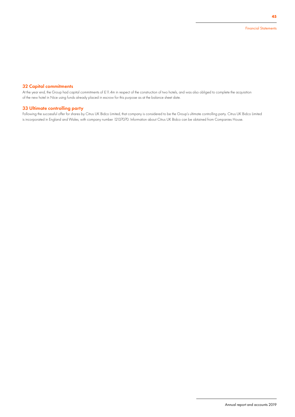## <span id="page-46-0"></span>32 Capital commitments

At the year end, the Group had capital commitments of £11.4m in respect of the construction of two hotels, and was also obliged to complete the acquisition of the new hotel in Nice using funds already placed in escrow for this purpose as at the balance sheet date.

# 33 Ultimate controlling party

Following the successful offer for shares by Citrus UK Bidco Limited, that company is considered to be the Group's ultimate controlling party. Citrus UK Bidco Limited is incorporated in England and Wales, with company number 12137070. Information about Citrus UK Bidco can be obtained from Companies House.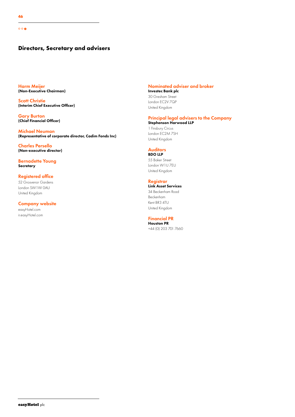# <span id="page-47-0"></span>**Directors, Secretary and advisers**

Harm Meijer (Non-Executive Chairman)

Scott Christie (Interim Chief Executive Officer)

Gary Burton (Chief Financial Officer)

Michael Neuman (Representative of corporate director, Cadim Fonds Inc)

Charles Persello (Non-executive director)

Bernadette Young **Secretary** 

# Registered office

52 Grosvenor Gardens London SW1W 0AU United Kingdom

# Company website

[easyHotel.com](http://easyHotel.com) [ir.easyHotel.com](http://ir.easyHotel.com) Nominated adviser and broker

Investec Bank plc 30 Gresham Street London EC2V 7QP United Kingdom

#### Principal legal advisers to the Company Stephenson Harwood LLP

1 Finsbury Circus London EC2M 7SH United Kingdom

#### Auditors BDO LLP

55 Baker Street London W1U 7EU United Kingdom

Registrar Link Asset Services 34 Beckenham Road

Beckenham Kent BR3 4TU United Kingdom

Financial PR Houston PR +44 (0) 203 701 7660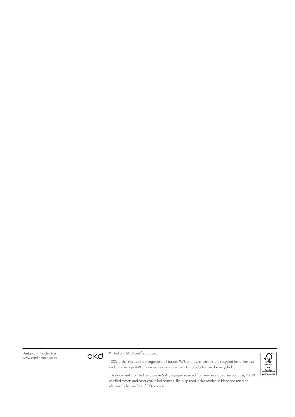Design and Production www.carrkamasa.co.uk



Printed on FSC® certified paper.

100% of the inks used are vegetable oil based, 95% of press chemicals are recycled for further use and, on average 99% of any waste associated with this production will be recycled.



This document is printed on Galerie Satin, a paper sourced from well managed, responsible, FSC® certified forests and other controlled sources. The pulp used in this product is bleached using an elemental chlorine free (ECF) process.